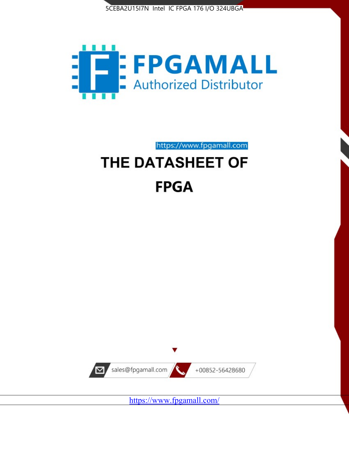



# https://www.fpgamall.com THE DATASHEET OF

# **FPGA**



<https://www.fpgamall.com/>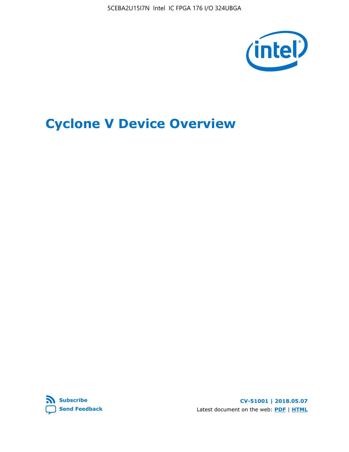5CEBA2U15I7N Intel IC FPGA 176 I/O 324UBGA



## **Cyclone V Device Overview**



**CV-51001 | 2018.05.07** Latest document on the web: **[PDF](https://www.altera.com/en_US/pdfs/literature/hb/cyclone-v/cv_51001.pdf)** | **[HTML](https://www.altera.com/documentation/sam1403480548153.html)**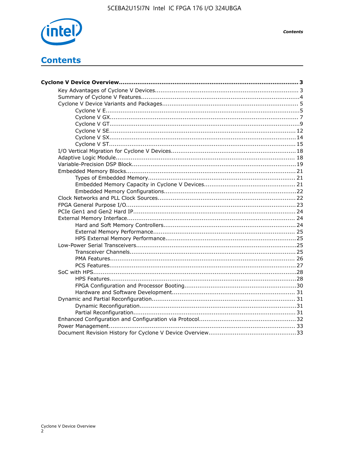

**Contents** 

## **Contents**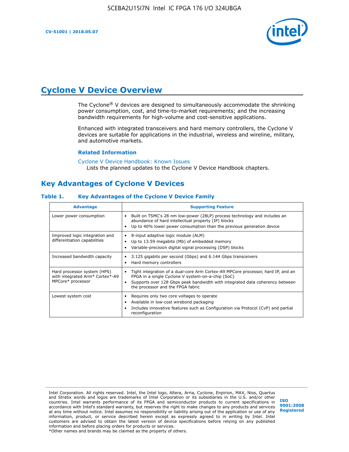

## **Cyclone V Device Overview**

The Cyclone® V devices are designed to simultaneously accommodate the shrinking power consumption, cost, and time-to-market requirements; and the increasing bandwidth requirements for high-volume and cost-sensitive applications.

Enhanced with integrated transceivers and hard memory controllers, the Cyclone V devices are suitable for applications in the industrial, wireless and wireline, military, and automotive markets.

#### **Related Information**

[Cyclone V Device Handbook: Known Issues](https://www.altera.com/support/support-resources/knowledge-base/solutions/rd12152011_347.html) Lists the planned updates to the Cyclone V Device Handbook chapters.

## **Key Advantages of Cyclone V Devices**

#### **Table 1. Key Advantages of the Cyclone V Device Family**

| <b>Advantage</b>                                                                    | <b>Supporting Feature</b>                                                                                                                                                                                                                                                    |
|-------------------------------------------------------------------------------------|------------------------------------------------------------------------------------------------------------------------------------------------------------------------------------------------------------------------------------------------------------------------------|
| Lower power consumption                                                             | Built on TSMC's 28 nm low-power (28LP) process technology and includes an<br>$\bullet$<br>abundance of hard intellectual property (IP) blocks<br>Up to 40% lower power consumption than the previous generation device                                                       |
| Improved logic integration and<br>differentiation capabilities                      | 8-input adaptive logic module (ALM)<br>٠<br>Up to 13.59 megabits (Mb) of embedded memory<br>٠<br>Variable-precision digital signal processing (DSP) blocks                                                                                                                   |
| Increased bandwidth capacity                                                        | 3.125 gigabits per second (Gbps) and 6.144 Gbps transceivers<br>٠<br>Hard memory controllers<br>٠                                                                                                                                                                            |
| Hard processor system (HPS)<br>with integrated Arm* Cortex*-A9<br>MPCore* processor | Tight integration of a dual-core Arm Cortex-A9 MPCore processor, hard IP, and an<br>$\bullet$<br>FPGA in a single Cyclone V system-on-a-chip (SoC)<br>Supports over 128 Gbps peak bandwidth with integrated data coherency between<br>٠<br>the processor and the FPGA fabric |
| Lowest system cost                                                                  | Requires only two core voltages to operate<br>٠<br>Available in low-cost wirebond packaging<br>٠<br>Includes innovative features such as Configuration via Protocol (CvP) and partial<br>٠<br>reconfiguration                                                                |

Intel Corporation. All rights reserved. Intel, the Intel logo, Altera, Arria, Cyclone, Enpirion, MAX, Nios, Quartus and Stratix words and logos are trademarks of Intel Corporation or its subsidiaries in the U.S. and/or other countries. Intel warrants performance of its FPGA and semiconductor products to current specifications in accordance with Intel's standard warranty, but reserves the right to make changes to any products and services at any time without notice. Intel assumes no responsibility or liability arising out of the application or use of any information, product, or service described herein except as expressly agreed to in writing by Intel. Intel customers are advised to obtain the latest version of device specifications before relying on any published information and before placing orders for products or services. \*Other names and brands may be claimed as the property of others.

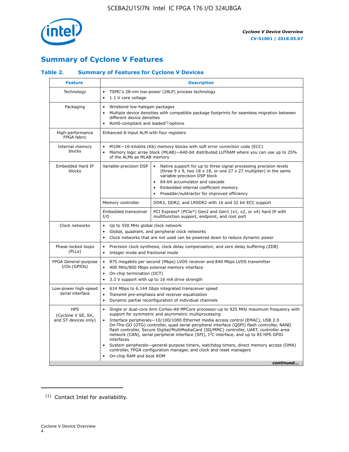

## **Summary of Cyclone V Features**

#### **Table 2. Summary of Features for Cyclone V Devices**

| <b>Feature</b>                                           | <b>Description</b>                                                                                                                                                                                                                                                                                                                               |                                                                                                                                                                                                                                                                                                                                                                                                                                                                                                                                                                                                                                                                                                         |  |  |  |  |  |  |
|----------------------------------------------------------|--------------------------------------------------------------------------------------------------------------------------------------------------------------------------------------------------------------------------------------------------------------------------------------------------------------------------------------------------|---------------------------------------------------------------------------------------------------------------------------------------------------------------------------------------------------------------------------------------------------------------------------------------------------------------------------------------------------------------------------------------------------------------------------------------------------------------------------------------------------------------------------------------------------------------------------------------------------------------------------------------------------------------------------------------------------------|--|--|--|--|--|--|
| Technology                                               | TSMC's 28-nm low-power (28LP) process technology<br>$\bullet$<br>1.1 V core voltage                                                                                                                                                                                                                                                              |                                                                                                                                                                                                                                                                                                                                                                                                                                                                                                                                                                                                                                                                                                         |  |  |  |  |  |  |
| Packaging                                                | $\bullet$                                                                                                                                                                                                                                                                                                                                        | Wirebond low-halogen packages<br>Multiple device densities with compatible package footprints for seamless migration between<br>different device densities<br>RoHS-compliant and leaded $(1)$ options                                                                                                                                                                                                                                                                                                                                                                                                                                                                                                   |  |  |  |  |  |  |
| High-performance<br>FPGA fabric                          | Enhanced 8-input ALM with four registers                                                                                                                                                                                                                                                                                                         |                                                                                                                                                                                                                                                                                                                                                                                                                                                                                                                                                                                                                                                                                                         |  |  |  |  |  |  |
| Internal memory<br>blocks                                | of the ALMs as MLAB memory                                                                                                                                                                                                                                                                                                                       | M10K-10-kilobits (Kb) memory blocks with soft error correction code (ECC)<br>Memory logic array block (MLAB)-640-bit distributed LUTRAM where you can use up to 25%                                                                                                                                                                                                                                                                                                                                                                                                                                                                                                                                     |  |  |  |  |  |  |
| Embedded Hard IP<br>blocks                               | Variable-precision DSP<br>Native support for up to three signal processing precision levels<br>(three $9 \times 9$ , two $18 \times 18$ , or one $27 \times 27$ multiplier) in the same<br>variable-precision DSP block<br>64-bit accumulator and cascade<br>Embedded internal coefficient memory<br>Preadder/subtractor for improved efficiency |                                                                                                                                                                                                                                                                                                                                                                                                                                                                                                                                                                                                                                                                                                         |  |  |  |  |  |  |
|                                                          | Memory controller                                                                                                                                                                                                                                                                                                                                | DDR3, DDR2, and LPDDR2 with 16 and 32 bit ECC support                                                                                                                                                                                                                                                                                                                                                                                                                                                                                                                                                                                                                                                   |  |  |  |  |  |  |
|                                                          | Embedded transceiver<br>I/O                                                                                                                                                                                                                                                                                                                      | PCI Express* (PCIe*) Gen2 and Gen1 (x1, x2, or x4) hard IP with<br>multifunction support, endpoint, and root port                                                                                                                                                                                                                                                                                                                                                                                                                                                                                                                                                                                       |  |  |  |  |  |  |
| Clock networks                                           | Up to 550 MHz global clock network<br>$\bullet$<br>$\bullet$<br>$\bullet$                                                                                                                                                                                                                                                                        | Global, quadrant, and peripheral clock networks<br>Clock networks that are not used can be powered down to reduce dynamic power                                                                                                                                                                                                                                                                                                                                                                                                                                                                                                                                                                         |  |  |  |  |  |  |
| Phase-locked loops<br>(PLLs)                             | $\bullet$<br>Integer mode and fractional mode<br>$\bullet$                                                                                                                                                                                                                                                                                       | Precision clock synthesis, clock delay compensation, and zero delay buffering (ZDB)                                                                                                                                                                                                                                                                                                                                                                                                                                                                                                                                                                                                                     |  |  |  |  |  |  |
| FPGA General-purpose<br>$I/Os$ (GPIOs)                   | $\bullet$<br>$\bullet$<br>On-chip termination (OCT)<br>$\bullet$                                                                                                                                                                                                                                                                                 | 875 megabits per second (Mbps) LVDS receiver and 840 Mbps LVDS transmitter<br>400 MHz/800 Mbps external memory interface<br>3.3 V support with up to 16 mA drive strength                                                                                                                                                                                                                                                                                                                                                                                                                                                                                                                               |  |  |  |  |  |  |
| Low-power high-speed<br>serial interface                 | 614 Mbps to 6.144 Gbps integrated transceiver speed<br>$\bullet$<br>Transmit pre-emphasis and receiver equalization<br>$\bullet$<br>Dynamic partial reconfiguration of individual channels<br>$\bullet$                                                                                                                                          |                                                                                                                                                                                                                                                                                                                                                                                                                                                                                                                                                                                                                                                                                                         |  |  |  |  |  |  |
| <b>HPS</b><br>(Cyclone V SE, SX,<br>and ST devices only) | $\bullet$<br>$\bullet$<br>interfaces<br>On-chip RAM and boot ROM                                                                                                                                                                                                                                                                                 | Single or dual-core Arm Cortex-A9 MPCore processor-up to 925 MHz maximum frequency with<br>support for symmetric and asymmetric multiprocessing<br>Interface peripherals-10/100/1000 Ethernet media access control (EMAC), USB 2.0<br>On-The-GO (OTG) controller, quad serial peripheral interface (QSPI) flash controller, NAND<br>flash controller, Secure Digital/MultiMediaCard (SD/MMC) controller, UART, controller area<br>network (CAN), serial peripheral interface (SPI), I <sup>2</sup> C interface, and up to 85 HPS GPIO<br>System peripherals—general-purpose timers, watchdog timers, direct memory access (DMA)<br>controller, FPGA configuration manager, and clock and reset managers |  |  |  |  |  |  |
|                                                          |                                                                                                                                                                                                                                                                                                                                                  | continued                                                                                                                                                                                                                                                                                                                                                                                                                                                                                                                                                                                                                                                                                               |  |  |  |  |  |  |

<sup>(1)</sup> Contact Intel for availability.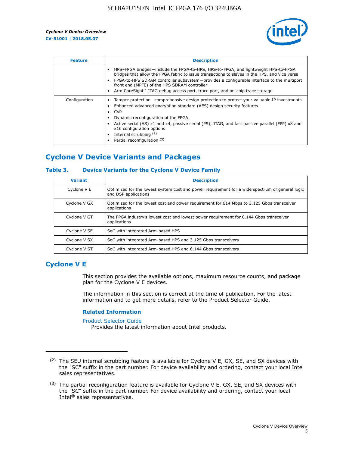

| <b>Feature</b> | <b>Description</b>                                                                                                                                                                                                                                                                                                                                                                                                           |
|----------------|------------------------------------------------------------------------------------------------------------------------------------------------------------------------------------------------------------------------------------------------------------------------------------------------------------------------------------------------------------------------------------------------------------------------------|
|                | HPS-FPGA bridges—include the FPGA-to-HPS, HPS-to-FPGA, and lightweight HPS-to-FPGA<br>bridges that allow the FPGA fabric to issue transactions to slaves in the HPS, and vice versa<br>FPGA-to-HPS SDRAM controller subsystem—provides a configurable interface to the multiport<br>front end (MPFE) of the HPS SDRAM controller<br>Arm CoreSight <sup>™</sup> JTAG debug access port, trace port, and on-chip trace storage |
| Configuration  | Tamper protection—comprehensive design protection to protect your valuable IP investments<br>Enhanced advanced encryption standard (AES) design security features<br>CvP<br>$\bullet$<br>Dynamic reconfiguration of the FPGA<br>Active serial (AS) x1 and x4, passive serial (PS), JTAG, and fast passive parallel (FPP) x8 and<br>x16 configuration options<br>Internal scrubbing (2)<br>Partial reconfiguration (3)        |

## **Cyclone V Device Variants and Packages**

#### **Table 3. Device Variants for the Cyclone V Device Family**

| <b>Variant</b> | <b>Description</b>                                                                                                      |
|----------------|-------------------------------------------------------------------------------------------------------------------------|
| Cyclone V E    | Optimized for the lowest system cost and power requirement for a wide spectrum of general logic<br>and DSP applications |
| Cyclone V GX   | Optimized for the lowest cost and power requirement for 614 Mbps to 3.125 Gbps transceiver<br>applications              |
| Cyclone V GT   | The FPGA industry's lowest cost and lowest power requirement for 6.144 Gbps transceiver<br>applications                 |
| Cyclone V SE   | SoC with integrated Arm-based HPS                                                                                       |
| Cyclone V SX   | SoC with integrated Arm-based HPS and 3.125 Gbps transceivers                                                           |
| Cyclone V ST   | SoC with integrated Arm-based HPS and 6.144 Gbps transceivers                                                           |

## **Cyclone V E**

This section provides the available options, maximum resource counts, and package plan for the Cyclone V E devices.

The information in this section is correct at the time of publication. For the latest information and to get more details, refer to the Product Selector Guide.

#### **Related Information**

[Product Selector Guide](https://www.altera.com/products/product-selector-guide.html)

Provides the latest information about Intel products.

<sup>(2)</sup> The SEU internal scrubbing feature is available for Cyclone V E, GX, SE, and SX devices with the "SC" suffix in the part number. For device availability and ordering, contact your local Intel sales representatives.

 $(3)$  The partial reconfiguration feature is available for Cyclone V E, GX, SE, and SX devices with the "SC" suffix in the part number. For device availability and ordering, contact your local Intel® sales representatives.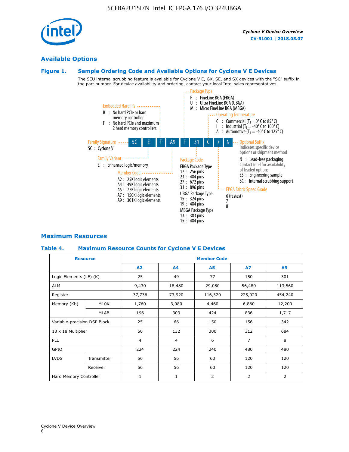## **Available Options**

#### **Figure 1. Sample Ordering Code and Available Options for Cyclone V E Devices**

The SEU internal scrubbing feature is available for Cyclone V E, GX, SE, and SX devices with the "SC" suffix in the part number. For device availability and ordering, contact your local Intel sales representatives.



## **Maximum Resources**

#### **Table 4. Maximum Resource Counts for Cyclone V E Devices**

|                              | <b>Resource</b> | <b>Member Code</b> |                |                |                |                |  |  |
|------------------------------|-----------------|--------------------|----------------|----------------|----------------|----------------|--|--|
|                              |                 | A2                 | A <sub>4</sub> | <b>A5</b>      | <b>A7</b>      | A <sub>9</sub> |  |  |
| Logic Elements (LE) (K)      |                 | 25                 | 49             | 77             | 150            | 301            |  |  |
| <b>ALM</b>                   |                 | 9,430              | 18,480         | 29,080         | 56,480         | 113,560        |  |  |
| Register                     |                 | 37,736             | 73,920         | 116,320        | 225,920        | 454,240        |  |  |
| Memory (Kb)                  | M10K            | 1,760              | 3,080          | 4,460          | 6,860          | 12,200         |  |  |
|                              | <b>MLAB</b>     | 196                | 303            | 424            | 836            | 1,717          |  |  |
| Variable-precision DSP Block |                 | 25                 | 66             | 150            | 156            | 342            |  |  |
| 18 x 18 Multiplier           |                 | 50                 | 132            | 300            | 312            | 684            |  |  |
| PLL                          |                 | $\overline{4}$     | 4              | 6              | $\overline{7}$ | 8              |  |  |
| GPIO                         | 224             |                    | 224            | 240            | 480            | 480            |  |  |
| <b>LVDS</b>                  | Transmitter     | 56                 | 56             | 60             | 120            | 120            |  |  |
|                              | Receiver        | 56                 | 56             | 60             | 120            | 120            |  |  |
| Hard Memory Controller       |                 | $\mathbf{1}$       | $\mathbf{1}$   | $\overline{2}$ | 2              | 2              |  |  |

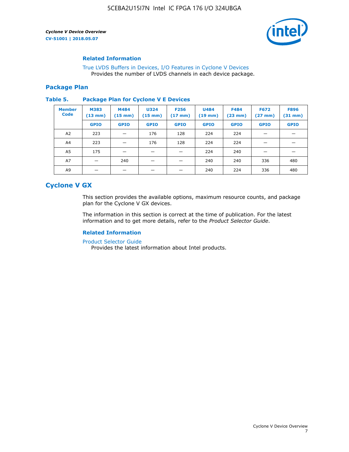

#### **Related Information**

[True LVDS Buffers in Devices, I/O Features in Cyclone V Devices](https://www.altera.com/documentation/sam1403481100977.html#sam1403480885395) Provides the number of LVDS channels in each device package.

#### **Package Plan**

#### **Table 5. Package Plan for Cyclone V E Devices**

| <b>Member</b><br><b>Code</b> | <b>M383</b><br>$(13 \text{ mm})$ | M484<br>$(15 \text{ mm})$ | <b>U324</b><br>$(15 \text{ mm})$ | <b>F256</b><br>$(17 \text{ mm})$ | <b>U484</b><br>$(19$ mm) | <b>F484</b><br>$(23$ mm $)$ | <b>F672</b><br>$(27 \, \text{mm})$ | <b>F896</b><br>$(31 \text{ mm})$ |
|------------------------------|----------------------------------|---------------------------|----------------------------------|----------------------------------|--------------------------|-----------------------------|------------------------------------|----------------------------------|
|                              | <b>GPIO</b>                      | <b>GPIO</b>               | <b>GPIO</b>                      | <b>GPIO</b>                      | <b>GPIO</b>              | <b>GPIO</b>                 | <b>GPIO</b>                        | <b>GPIO</b>                      |
| A2                           | 223                              |                           | 176                              | 128                              | 224                      | 224                         |                                    |                                  |
| A4                           | 223                              |                           | 176                              | 128                              | 224                      | 224                         |                                    |                                  |
| A <sub>5</sub>               | 175                              |                           |                                  |                                  | 224                      | 240                         |                                    |                                  |
| A7                           |                                  | 240                       |                                  |                                  | 240                      | 240                         | 336                                | 480                              |
| A9                           |                                  |                           |                                  |                                  | 240                      | 224                         | 336                                | 480                              |

## **Cyclone V GX**

This section provides the available options, maximum resource counts, and package plan for the Cyclone V GX devices.

The information in this section is correct at the time of publication. For the latest information and to get more details, refer to the *Product Selector Guide*.

#### **Related Information**

[Product Selector Guide](https://www.altera.com/products/product-selector-guide.html)

Provides the latest information about Intel products.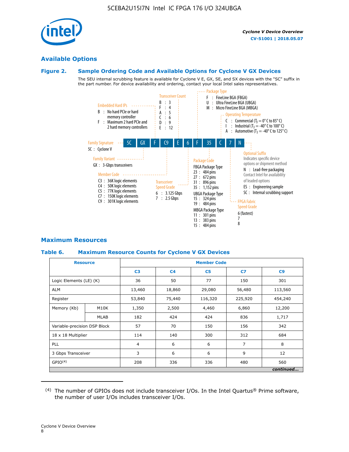

#### **Available Options**

#### **Figure 2. Sample Ordering Code and Available Options for Cyclone V GX Devices**

The SEU internal scrubbing feature is available for Cyclone V E, GX, SE, and SX devices with the "SC" suffix in the part number. For device availability and ordering, contact your local Intel sales representatives.



#### **Maximum Resources**

#### **Table 6. Maximum Resource Counts for Cyclone V GX Devices**

| <b>Resource</b>              |             | <b>Member Code</b> |                |                |                |           |  |  |
|------------------------------|-------------|--------------------|----------------|----------------|----------------|-----------|--|--|
|                              |             | C <sub>3</sub>     | C <sub>4</sub> | C <sub>5</sub> | C7             | C9        |  |  |
| Logic Elements (LE) (K)      |             | 36                 | 50             | 77             | 150            | 301       |  |  |
| <b>ALM</b>                   |             | 13,460             | 18,860         | 29,080         | 56,480         | 113,560   |  |  |
| Register                     |             |                    | 75,440         | 116,320        | 225,920        | 454,240   |  |  |
| Memory (Kb)                  | M10K        | 1,350              | 2,500          | 4,460          | 6,860          | 12,200    |  |  |
|                              | <b>MLAB</b> | 182                | 424            | 424            | 836            | 1,717     |  |  |
| Variable-precision DSP Block |             | 57                 | 70             | 150            | 156            | 342       |  |  |
| 18 x 18 Multiplier           |             | 114                | 140            | 300            | 312            | 684       |  |  |
| PLL                          |             | $\overline{4}$     | 6              | 6              | $\overline{7}$ | 8         |  |  |
| 3 Gbps Transceiver           |             | 3                  | 6              | 6              | 9              | 12        |  |  |
| GPIO <sup>(4)</sup>          |             | 208                | 336            | 336            | 480            | 560       |  |  |
|                              |             |                    |                |                |                | continued |  |  |

 $(4)$  The number of GPIOs does not include transceiver I/Os. In the Intel Quartus® Prime software, the number of user I/Os includes transceiver I/Os.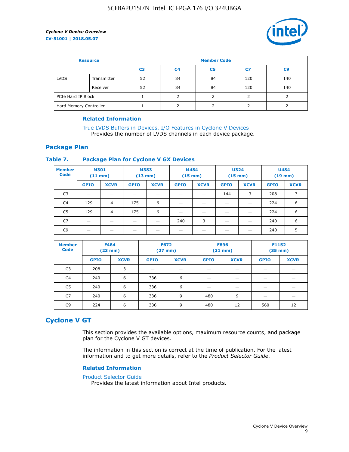

| <b>Resource</b>        |             | <b>Member Code</b> |                |                |     |                |  |  |  |
|------------------------|-------------|--------------------|----------------|----------------|-----|----------------|--|--|--|
|                        |             | C <sub>3</sub>     | C <sub>4</sub> | C <sub>5</sub> | C7  | C <sub>9</sub> |  |  |  |
| <b>LVDS</b>            | Transmitter | 52                 | 84             | 84             | 120 | 140            |  |  |  |
|                        | Receiver    | 52                 | 84             | 84             | 120 | 140            |  |  |  |
| PCIe Hard IP Block     |             |                    |                |                |     |                |  |  |  |
| Hard Memory Controller |             |                    | h              |                |     |                |  |  |  |

#### **Related Information**

[True LVDS Buffers in Devices, I/O Features in Cyclone V Devices](https://www.altera.com/documentation/sam1403481100977.html#sam1403480885395) Provides the number of LVDS channels in each device package.

#### **Package Plan**

#### **Table 7. Package Plan for Cyclone V GX Devices**

| <b>Member</b><br><b>Code</b> | <b>M301</b><br>$(11$ mm) |                | <b>M383</b><br>$(13 \text{ mm})$ |             | M484        | $(15 \text{ mm})$ | <b>U324</b><br>$(15 \text{ mm})$ |             | <b>U484</b><br>$(19$ mm) |             |
|------------------------------|--------------------------|----------------|----------------------------------|-------------|-------------|-------------------|----------------------------------|-------------|--------------------------|-------------|
|                              | <b>GPIO</b>              | <b>XCVR</b>    | <b>GPIO</b>                      | <b>XCVR</b> | <b>GPIO</b> | <b>XCVR</b>       | <b>GPIO</b>                      | <b>XCVR</b> | <b>GPIO</b>              | <b>XCVR</b> |
| C <sub>3</sub>               |                          |                |                                  |             |             |                   | 144                              | 3           | 208                      | 3           |
| C <sub>4</sub>               | 129                      | $\overline{4}$ | 175                              | 6           |             |                   | –                                |             | 224                      | 6           |
| C5                           | 129                      | 4              | 175                              | 6           |             |                   |                                  |             | 224                      | 6           |
| C7                           | _                        |                |                                  |             | 240         | 3                 |                                  |             | 240                      | 6           |
| C <sub>9</sub>               |                          |                |                                  |             |             |                   |                                  |             | 240                      | 5           |

| <b>Member</b><br><b>Code</b> | <b>F484</b> | $(23$ mm)   | <b>F672</b> | $(27 \text{ mm})$ | <b>F896</b><br>$(31 \text{ mm})$ |             | F1152<br>$(35 \text{ mm})$ |             |
|------------------------------|-------------|-------------|-------------|-------------------|----------------------------------|-------------|----------------------------|-------------|
|                              | <b>GPIO</b> | <b>XCVR</b> | <b>GPIO</b> | <b>XCVR</b>       | <b>GPIO</b>                      | <b>XCVR</b> | <b>GPIO</b>                | <b>XCVR</b> |
| C <sub>3</sub>               | 208         | 3           |             |                   |                                  |             |                            |             |
| C4                           | 240         | 6           | 336         | 6                 |                                  |             |                            |             |
| C5                           | 240         | 6           | 336         | 6                 |                                  |             |                            |             |
| C <sub>7</sub>               | 240         | 6           | 336         | 9                 | 480                              | 9           |                            |             |
| C <sub>9</sub>               | 224         | 6           | 336         | 9                 | 480                              | 12          | 560                        | 12          |

## **Cyclone V GT**

This section provides the available options, maximum resource counts, and package plan for the Cyclone V GT devices.

The information in this section is correct at the time of publication. For the latest information and to get more details, refer to the *Product Selector Guide*.

#### **Related Information**

#### [Product Selector Guide](https://www.altera.com/products/product-selector-guide.html)

Provides the latest information about Intel products.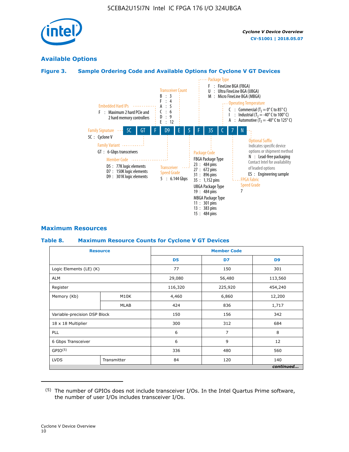

### **Available Options**

#### **Figure 3. Sample Ordering Code and Available Options for Cyclone V GT Devices**



#### **Maximum Resources**

#### **Table 8. Maximum Resource Counts for Cyclone V GT Devices**

|                              | <b>Resource</b> |                | <b>Member Code</b> |                |  |  |  |
|------------------------------|-----------------|----------------|--------------------|----------------|--|--|--|
|                              |                 | D <sub>5</sub> | D7                 | D <sub>9</sub> |  |  |  |
| Logic Elements (LE) (K)      |                 | 77             | 150                | 301            |  |  |  |
| <b>ALM</b>                   |                 | 29,080         | 56,480             | 113,560        |  |  |  |
| Register                     |                 | 116,320        | 225,920            | 454,240        |  |  |  |
| Memory (Kb)                  | M10K            | 4,460          | 6,860              | 12,200         |  |  |  |
|                              | MLAB            | 424            | 836                | 1,717          |  |  |  |
| Variable-precision DSP Block |                 | 150            | 156                | 342            |  |  |  |
| 18 x 18 Multiplier           |                 | 300            | 312                | 684            |  |  |  |
| PLL                          |                 | 6              | 7                  | 8              |  |  |  |
| 6 Gbps Transceiver           |                 | 6              | 9                  | 12             |  |  |  |
| GPIO <sup>(5)</sup>          |                 | 336            | 480                | 560            |  |  |  |
| <b>LVDS</b>                  | Transmitter     | 84             | 120                | 140            |  |  |  |
|                              |                 |                |                    | continued      |  |  |  |

<sup>(5)</sup> The number of GPIOs does not include transceiver I/Os. In the Intel Quartus Prime software, the number of user I/Os includes transceiver I/Os.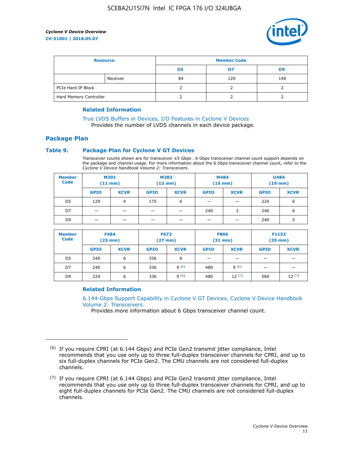

| <b>Resource</b>        |          | <b>Member Code</b> |     |     |  |  |
|------------------------|----------|--------------------|-----|-----|--|--|
|                        |          | D5                 | D7  | D9  |  |  |
|                        | Receiver | 84                 | 120 | 140 |  |  |
| PCIe Hard IP Block     |          |                    |     |     |  |  |
| Hard Memory Controller |          |                    |     |     |  |  |

#### **Related Information**

[True LVDS Buffers in Devices, I/O Features in Cyclone V Devices](https://www.altera.com/documentation/sam1403481100977.html#sam1403480885395) Provides the number of LVDS channels in each device package.

## **Package Plan**

#### **Table 9. Package Plan for Cyclone V GT Devices**

Transceiver counts shown are for transceiver ≤5 Gbps . 6 Gbps transceiver channel count support depends on the package and channel usage. For more information about the 6 Gbps transceiver channel count, refer to the *Cyclone V Device Handbook Volume 2: Transceivers*.

| <b>Member</b><br><b>Code</b> | <b>M301</b><br>$(11$ mm $)$ |                          | <b>M383</b><br>$(13 \text{ mm})$ |             | M484<br>$(15 \text{ mm})$ |             | <b>U484</b><br>$(19$ mm) |             |
|------------------------------|-----------------------------|--------------------------|----------------------------------|-------------|---------------------------|-------------|--------------------------|-------------|
|                              | <b>GPIO</b>                 | <b>XCVR</b>              | <b>GPIO</b>                      | <b>XCVR</b> | <b>GPIO</b>               | <b>XCVR</b> | <b>GPIO</b>              | <b>XCVR</b> |
| D5                           | 129                         | 4                        | 175                              | 6           | -                         | -           | 224                      | 6           |
| D7                           | -                           | $\overline{\phantom{0}}$ |                                  |             | 240                       | 3           | 240                      | 6           |
| D <sub>9</sub>               | $\overline{\phantom{0}}$    | $\overline{\phantom{0}}$ |                                  | _           | _                         |             | 240                      | 5           |

| <b>Member</b><br><b>Code</b> | <b>F484</b><br>$(23$ mm $)$ |             | <b>F672</b><br>$(27 \text{ mm})$ |             | <b>F896</b><br>$(31$ mm $)$ |             | F1152<br>$(35$ mm $)$    |             |
|------------------------------|-----------------------------|-------------|----------------------------------|-------------|-----------------------------|-------------|--------------------------|-------------|
|                              | <b>GPIO</b>                 | <b>XCVR</b> | <b>GPIO</b>                      | <b>XCVR</b> | <b>GPIO</b>                 | <b>XCVR</b> | <b>GPIO</b>              | <b>XCVR</b> |
| D <sub>5</sub>               | 240                         | 6           | 336                              | 6           | -                           |             | –                        |             |
| D7                           | 240                         | 6           | 336                              | q(6)        | 480                         | q(6)        | $\overline{\phantom{0}}$ | -           |
| D <sub>9</sub>               | 224                         | 6           | 336                              | q(6)        | 480                         | 12(7)       | 560                      | 12(7)       |

#### **Related Information**

[6.144-Gbps Support Capability in Cyclone V GT Devices, Cyclone V Device Handbook](https://www.altera.com/documentation/nik1409855456781.html#nik1409855410757) [Volume 2: Transceivers](https://www.altera.com/documentation/nik1409855456781.html#nik1409855410757)

Provides more information about 6 Gbps transceiver channel count.

<sup>(6)</sup> If you require CPRI (at 6.144 Gbps) and PCIe Gen2 transmit jitter compliance, Intel recommends that you use only up to three full-duplex transceiver channels for CPRI, and up to six full-duplex channels for PCIe Gen2. The CMU channels are not considered full-duplex channels.

 $(7)$  If you require CPRI (at 6.144 Gbps) and PCIe Gen2 transmit jitter compliance, Intel recommends that you use only up to three full-duplex transceiver channels for CPRI, and up to eight full-duplex channels for PCIe Gen2. The CMU channels are not considered full-duplex channels.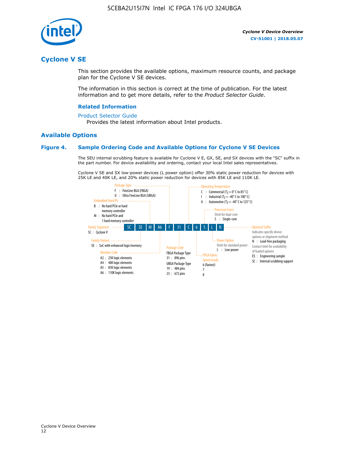

## **Cyclone V SE**

This section provides the available options, maximum resource counts, and package plan for the Cyclone V SE devices.

The information in this section is correct at the time of publication. For the latest information and to get more details, refer to the *Product Selector Guide*.

#### **Related Information**

#### [Product Selector Guide](https://www.altera.com/products/product-selector-guide.html)

Provides the latest information about Intel products.

#### **Available Options**

#### **Figure 4. Sample Ordering Code and Available Options for Cyclone V SE Devices**

The SEU internal scrubbing feature is available for Cyclone V E, GX, SE, and SX devices with the "SC" suffix in the part number. For device availability and ordering, contact your local Intel sales representatives.

Cyclone V SE and SX low-power devices (L power option) offer 30% static power reduction for devices with 25K LE and 40K LE, and 20% static power reduction for devices with 85K LE and 110K LE.

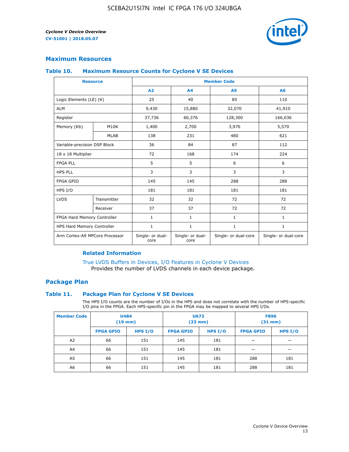

#### **Maximum Resources**

#### **Table 10. Maximum Resource Counts for Cyclone V SE Devices**

|                                | <b>Resource</b>              | <b>Member Code</b>       |                          |                      |                      |  |
|--------------------------------|------------------------------|--------------------------|--------------------------|----------------------|----------------------|--|
|                                |                              | A <sub>2</sub>           | A <sub>4</sub>           | <b>A5</b>            | A6                   |  |
| Logic Elements (LE) (K)        |                              | 25                       | 40                       | 85                   | 110                  |  |
| <b>ALM</b>                     |                              | 9,430                    | 15,880                   | 32,070               | 41,910               |  |
| Register                       |                              | 37,736                   | 60,376                   | 128,300              | 166,036              |  |
| Memory (Kb)                    | M10K                         | 1,400                    | 2,700                    | 3,970                | 5,570                |  |
|                                | <b>MLAB</b>                  | 138                      | 231                      | 480                  | 621                  |  |
|                                | Variable-precision DSP Block |                          | 84                       | 87                   | 112                  |  |
| 18 x 18 Multiplier             |                              | 72                       | 168                      | 174                  | 224                  |  |
| <b>FPGA PLL</b>                |                              | 5                        | 5                        | 6                    | 6                    |  |
| <b>HPS PLL</b>                 |                              | 3                        | 3                        | 3                    | 3                    |  |
| <b>FPGA GPIO</b>               |                              | 145                      | 145                      | 288                  | 288                  |  |
| HPS I/O                        |                              | 181                      | 181                      | 181                  | 181                  |  |
| <b>LVDS</b>                    | Transmitter                  | 32                       | 32                       | 72                   | 72                   |  |
|                                | Receiver                     | 37                       | 37                       | 72                   | 72                   |  |
| FPGA Hard Memory Controller    |                              | 1                        | $\mathbf{1}$             | $\mathbf{1}$         | $\mathbf{1}$         |  |
| HPS Hard Memory Controller     |                              | $\mathbf{1}$             | $\mathbf{1}$             | $\mathbf{1}$         | $\mathbf{1}$         |  |
| Arm Cortex-A9 MPCore Processor |                              | Single- or dual-<br>core | Single- or dual-<br>core | Single- or dual-core | Single- or dual-core |  |

#### **Related Information**

[True LVDS Buffers in Devices, I/O Features in Cyclone V Devices](https://www.altera.com/documentation/sam1403481100977.html#sam1403480885395) Provides the number of LVDS channels in each device package.

#### **Package Plan**

#### **Table 11. Package Plan for Cyclone V SE Devices**

The HPS I/O counts are the number of I/Os in the HPS and does not correlate with the number of HPS-specific I/O pins in the FPGA. Each HPS-specific pin in the FPGA may be mapped to several HPS I/Os.

| <b>Member Code</b> | <b>U484</b><br>$(19$ mm) |           | U672<br>(23 mm)  |           | <b>F896</b><br>$(31$ mm $)$ |           |
|--------------------|--------------------------|-----------|------------------|-----------|-----------------------------|-----------|
|                    | <b>FPGA GPIO</b>         | HPS $I/O$ | <b>FPGA GPIO</b> | HPS $I/O$ | <b>FPGA GPIO</b>            | HPS $I/O$ |
| A <sub>2</sub>     | 66                       | 151       | 145              | 181       |                             |           |
| A4                 | 66                       | 151       | 145              | 181       |                             |           |
| A <sub>5</sub>     | 66                       | 151       | 145              | 181       | 288                         | 181       |
| A6                 | 66                       | 151       | 145              | 181       | 288                         | 181       |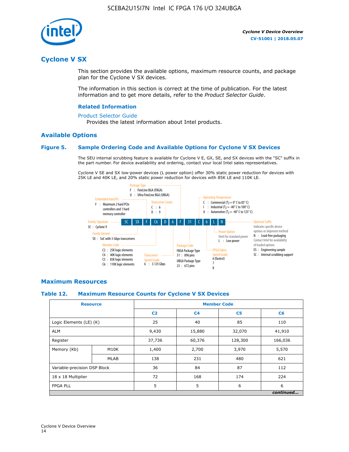

## **Cyclone V SX**

This section provides the available options, maximum resource counts, and package plan for the Cyclone V SX devices.

The information in this section is correct at the time of publication. For the latest information and to get more details, refer to the *Product Selector Guide*.

#### **Related Information**

#### [Product Selector Guide](https://www.altera.com/products/product-selector-guide.html)

Provides the latest information about Intel products.

#### **Available Options**

#### **Figure 5. Sample Ordering Code and Available Options for Cyclone V SX Devices**

The SEU internal scrubbing feature is available for Cyclone V E, GX, SE, and SX devices with the "SC" suffix in the part number. For device availability and ordering, contact your local Intel sales representatives.

Cyclone V SE and SX low-power devices (L power option) offer 30% static power reduction for devices with 25K LE and 40K LE, and 20% static power reduction for devices with 85K LE and 110K LE.



#### **Maximum Resources**

#### **Table 12. Maximum Resource Counts for Cyclone V SX Devices**

|                              | <b>Resource</b> | <b>Member Code</b> |                |                |           |  |
|------------------------------|-----------------|--------------------|----------------|----------------|-----------|--|
|                              |                 | C <sub>2</sub>     | C <sub>4</sub> | C <sub>5</sub> | C6        |  |
| Logic Elements (LE) (K)      |                 | 25                 | 40             | 85             | 110       |  |
| <b>ALM</b>                   |                 | 9,430              | 15,880         | 32,070         | 41,910    |  |
| Register                     |                 | 37,736             | 60,376         | 128,300        | 166,036   |  |
| Memory (Kb)                  | M10K            | 1,400              | 2,700          | 3,970          | 5,570     |  |
|                              | <b>MLAB</b>     | 138                | 231            | 480            | 621       |  |
| Variable-precision DSP Block |                 | 36                 | 84             | 87             | 112       |  |
| 18 x 18 Multiplier           |                 | 72                 | 168            | 174            | 224       |  |
| <b>FPGA PLL</b>              |                 | 5                  | 5              | 6              | 6         |  |
|                              |                 |                    |                |                | continued |  |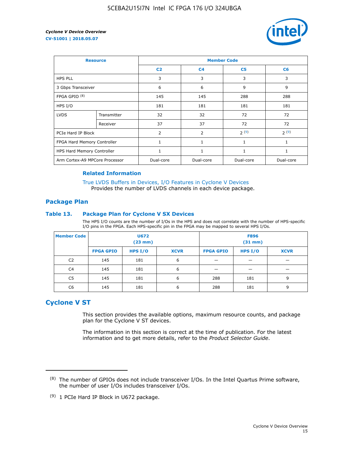

| <b>Resource</b>                |             | <b>Member Code</b> |                |                |           |  |  |
|--------------------------------|-------------|--------------------|----------------|----------------|-----------|--|--|
|                                |             | C <sub>2</sub>     | C <sub>4</sub> | C <sub>5</sub> | C6        |  |  |
| <b>HPS PLL</b>                 |             | 3                  | 3              | 3              | 3         |  |  |
| 3 Gbps Transceiver             |             | 6                  | 6              | 9              | 9         |  |  |
| FPGA GPIO <sup>(8)</sup>       |             | 145                | 145            | 288            | 288       |  |  |
| HPS I/O                        |             | 181                | 181            | 181            | 181       |  |  |
| <b>LVDS</b>                    | Transmitter | 32                 | 32             | 72             | 72        |  |  |
|                                | Receiver    | 37                 | 37             | 72             | 72        |  |  |
| PCIe Hard IP Block             |             | $\overline{2}$     | $\overline{2}$ | 2(9)           | 2(9)      |  |  |
| FPGA Hard Memory Controller    |             | $\mathbf{1}$       | 1              | 1              | 1         |  |  |
| HPS Hard Memory Controller     |             | 1                  | 1              | 1              | 1         |  |  |
| Arm Cortex-A9 MPCore Processor |             | Dual-core          | Dual-core      | Dual-core      | Dual-core |  |  |

#### **Related Information**

[True LVDS Buffers in Devices, I/O Features in Cyclone V Devices](https://www.altera.com/documentation/sam1403481100977.html#sam1403480885395) Provides the number of LVDS channels in each device package.

#### **Package Plan**

#### **Table 13. Package Plan for Cyclone V SX Devices**

The HPS I/O counts are the number of I/Os in the HPS and does not correlate with the number of HPS-specific I/O pins in the FPGA. Each HPS-specific pin in the FPGA may be mapped to several HPS I/Os.

| <b>Member Code</b> | U672<br>(23 mm)  |           | <b>F896</b><br>$(31$ mm $)$ |                  |         |             |
|--------------------|------------------|-----------|-----------------------------|------------------|---------|-------------|
|                    | <b>FPGA GPIO</b> | HPS $I/O$ | <b>XCVR</b>                 | <b>FPGA GPIO</b> | HPS I/O | <b>XCVR</b> |
| C <sub>2</sub>     | 145              | 181       | 6                           |                  |         |             |
| C4                 | 145              | 181       | 6                           |                  |         |             |
| C <sub>5</sub>     | 145              | 181       | 6                           | 288              | 181     | 9           |
| C6                 | 145              | 181       | 6                           | 288              | 181     | 9           |

## **Cyclone V ST**

This section provides the available options, maximum resource counts, and package plan for the Cyclone V ST devices.

The information in this section is correct at the time of publication. For the latest information and to get more details, refer to the *Product Selector Guide*.

 $(8)$  The number of GPIOs does not include transceiver I/Os. In the Intel Quartus Prime software, the number of user I/Os includes transceiver I/Os.

<sup>(9)</sup> 1 PCIe Hard IP Block in U672 package.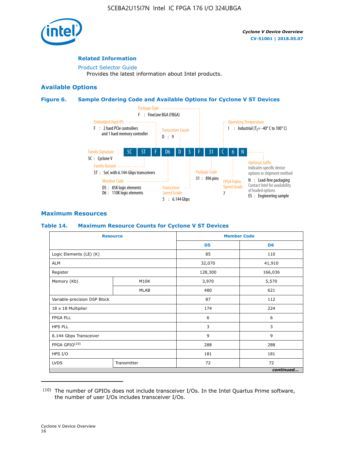

#### **Related Information**

[Product Selector Guide](https://www.altera.com/products/product-selector-guide.html) Provides the latest information about Intel products.

#### **Available Options**

#### **Figure 6. Sample Ordering Code and Available Options for Cyclone V ST Devices**



#### **Maximum Resources**

#### **Table 14. Maximum Resource Counts for Cyclone V ST Devices**

| <b>Resource</b>              |             |                | <b>Member Code</b> |
|------------------------------|-------------|----------------|--------------------|
|                              |             | D <sub>5</sub> | D <sub>6</sub>     |
| Logic Elements (LE) (K)      |             | 85             | 110                |
| <b>ALM</b>                   |             | 32,070         | 41,910             |
| Register                     |             | 128,300        | 166,036            |
| Memory (Kb)                  | M10K        | 3,970          | 5,570              |
|                              | <b>MLAB</b> | 480            | 621                |
| Variable-precision DSP Block |             | 87             | 112                |
| 18 x 18 Multiplier           |             | 174            | 224                |
| <b>FPGA PLL</b>              |             | 6              | 6                  |
| <b>HPS PLL</b>               |             | 3              | 3                  |
| 6.144 Gbps Transceiver       |             | 9              | 9                  |
| FPGA GPIO(10)                |             | 288            | 288                |
| HPS I/O                      |             | 181            | 181                |
| <b>LVDS</b><br>Transmitter   |             | 72             | 72                 |
|                              |             |                | continued          |

<sup>(10)</sup> The number of GPIOs does not include transceiver I/Os. In the Intel Quartus Prime software, the number of user I/Os includes transceiver I/Os.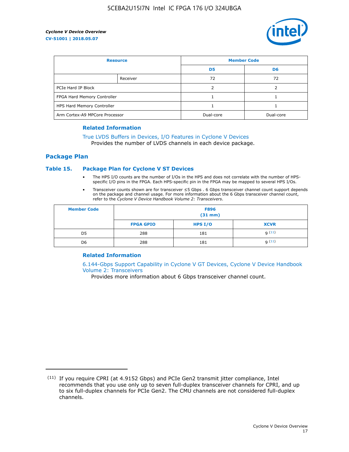

| <b>Resource</b>                |          | <b>Member Code</b> |           |  |
|--------------------------------|----------|--------------------|-----------|--|
|                                |          | D <sub>5</sub>     | D6        |  |
|                                | Receiver | 72                 | 72        |  |
| PCIe Hard IP Block             |          | ว                  |           |  |
| FPGA Hard Memory Controller    |          |                    |           |  |
| HPS Hard Memory Controller     |          |                    |           |  |
| Arm Cortex-A9 MPCore Processor |          | Dual-core          | Dual-core |  |

#### **Related Information**

## [True LVDS Buffers in Devices, I/O Features in Cyclone V Devices](https://www.altera.com/documentation/sam1403481100977.html#sam1403480885395)

Provides the number of LVDS channels in each device package.

#### **Package Plan**

#### **Table 15. Package Plan for Cyclone V ST Devices**

- The HPS I/O counts are the number of I/Os in the HPS and does not correlate with the number of HPSspecific I/O pins in the FPGA. Each HPS-specific pin in the FPGA may be mapped to several HPS I/Os.
- Transceiver counts shown are for transceiver ≤5 Gbps . 6 Gbps transceiver channel count support depends on the package and channel usage. For more information about the 6 Gbps transceiver channel count, refer to the *Cyclone V Device Handbook Volume 2: Transceivers*.

| <b>Member Code</b> | <b>F896</b><br>$(31$ mm $)$ |           |             |  |  |
|--------------------|-----------------------------|-----------|-------------|--|--|
|                    | <b>FPGA GPIO</b>            | HPS $I/O$ | <b>XCVR</b> |  |  |
| D <sub>5</sub>     | 288                         | 181       | 9(11)       |  |  |
| D <sub>6</sub>     | 288                         | 181       | q(11)       |  |  |

#### **Related Information**

[6.144-Gbps Support Capability in Cyclone V GT Devices, Cyclone V Device Handbook](https://www.altera.com/documentation/nik1409855456781.html#nik1409855410757) [Volume 2: Transceivers](https://www.altera.com/documentation/nik1409855456781.html#nik1409855410757)

Provides more information about 6 Gbps transceiver channel count.

<sup>(11)</sup> If you require CPRI (at 4.9152 Gbps) and PCIe Gen2 transmit jitter compliance, Intel recommends that you use only up to seven full-duplex transceiver channels for CPRI, and up to six full-duplex channels for PCIe Gen2. The CMU channels are not considered full-duplex channels.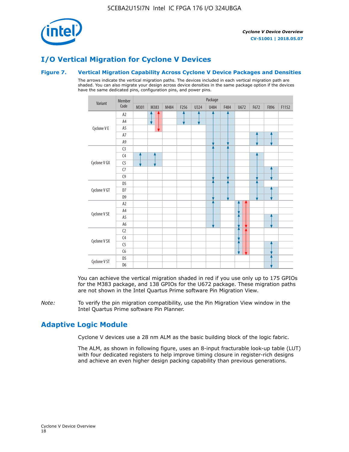

## **I/O Vertical Migration for Cyclone V Devices**

#### **Figure 7. Vertical Migration Capability Across Cyclone V Device Packages and Densities**

The arrows indicate the vertical migration paths. The devices included in each vertical migration path are shaded. You can also migrate your design across device densities in the same package option if the devices have the same dedicated pins, configuration pins, and power pins.



You can achieve the vertical migration shaded in red if you use only up to 175 GPIOs for the M383 package, and 138 GPIOs for the U672 package. These migration paths are not shown in the Intel Quartus Prime software Pin Migration View.

*Note:* To verify the pin migration compatibility, use the Pin Migration View window in the Intel Quartus Prime software Pin Planner.

## **Adaptive Logic Module**

Cyclone V devices use a 28 nm ALM as the basic building block of the logic fabric.

The ALM, as shown in following figure, uses an 8-input fracturable look-up table (LUT) with four dedicated registers to help improve timing closure in register-rich designs and achieve an even higher design packing capability than previous generations.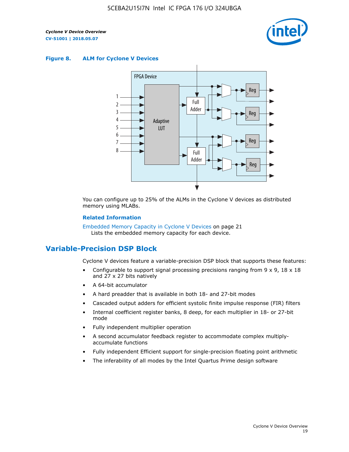

#### **Figure 8. ALM for Cyclone V Devices**



You can configure up to 25% of the ALMs in the Cyclone V devices as distributed memory using MLABs.

#### **Related Information**

Embedded Memory Capacity in Cyclone V Devices on page 21 Lists the embedded memory capacity for each device.

## **Variable-Precision DSP Block**

Cyclone V devices feature a variable-precision DSP block that supports these features:

- Configurable to support signal processing precisions ranging from  $9 \times 9$ ,  $18 \times 18$ and 27 x 27 bits natively
- A 64-bit accumulator
- A hard preadder that is available in both 18- and 27-bit modes
- Cascaded output adders for efficient systolic finite impulse response (FIR) filters
- Internal coefficient register banks, 8 deep, for each multiplier in 18- or 27-bit mode
- Fully independent multiplier operation
- A second accumulator feedback register to accommodate complex multiplyaccumulate functions
- Fully independent Efficient support for single-precision floating point arithmetic
- The inferability of all modes by the Intel Quartus Prime design software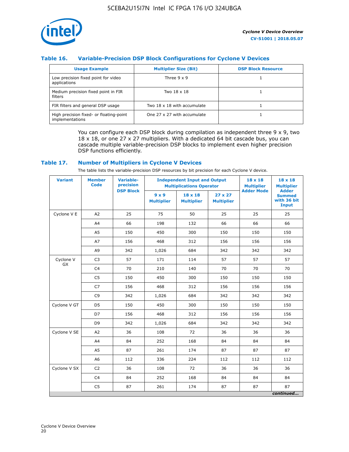

#### **Table 16. Variable-Precision DSP Block Configurations for Cyclone V Devices**

| <b>Usage Example</b>                                       | <b>Multiplier Size (Bit)</b> | <b>DSP Block Resource</b> |
|------------------------------------------------------------|------------------------------|---------------------------|
| Low precision fixed point for video<br>applications        | Three $9 \times 9$           |                           |
| Medium precision fixed point in FIR<br>filters             | Two 18 x 18                  |                           |
| FIR filters and general DSP usage                          | Two 18 x 18 with accumulate  |                           |
| High precision fixed- or floating-point<br>implementations | One 27 x 27 with accumulate  |                           |

You can configure each DSP block during compilation as independent three  $9 \times 9$ , two 18 x 18, or one 27 x 27 multipliers. With a dedicated 64 bit cascade bus, you can cascade multiple variable-precision DSP blocks to implement even higher precision DSP functions efficiently.

#### **Table 17. Number of Multipliers in Cyclone V Devices**

The table lists the variable-precision DSP resources by bit precision for each Cyclone V device.

| <b>Variant</b>  | <b>Member</b><br><b>Code</b> | <b>Variable-</b><br>precision |                                   | <b>Independent Input and Output</b><br><b>Multiplications Operator</b> | $18 \times 18$<br><b>Multiplier</b> | $18 \times 18$<br><b>Multiplier</b> |                                                              |
|-----------------|------------------------------|-------------------------------|-----------------------------------|------------------------------------------------------------------------|-------------------------------------|-------------------------------------|--------------------------------------------------------------|
|                 |                              | <b>DSP Block</b>              | $9 \times 9$<br><b>Multiplier</b> | $18 \times 18$<br><b>Multiplier</b>                                    | $27 \times 27$<br><b>Multiplier</b> | <b>Adder Mode</b>                   | <b>Adder</b><br><b>Summed</b><br>with 36 bit<br><b>Input</b> |
| Cyclone V E     | A <sub>2</sub>               | 25                            | 75                                | 50                                                                     | 25                                  | 25                                  | 25                                                           |
|                 | A4                           | 66                            | 198                               | 132                                                                    | 66                                  | 66                                  | 66                                                           |
|                 | A5                           | 150                           | 450                               | 300                                                                    | 150                                 | 150                                 | 150                                                          |
|                 | A7                           | 156                           | 468                               | 312                                                                    | 156                                 | 156                                 | 156                                                          |
|                 | A9                           | 342                           | 1,026                             | 684                                                                    | 342                                 | 342                                 | 342                                                          |
| Cyclone V<br>GX | C <sub>3</sub>               | 57                            | 171                               | 114                                                                    | 57                                  | 57                                  | 57                                                           |
|                 | C <sub>4</sub>               | 70                            | 210                               | 140                                                                    | 70                                  | 70                                  | 70                                                           |
|                 | C <sub>5</sub>               | 150                           | 450                               | 300                                                                    | 150                                 | 150                                 | 150                                                          |
|                 | C7                           | 156                           | 468                               | 312                                                                    | 156                                 | 156                                 | 156                                                          |
|                 | C <sub>9</sub>               | 342                           | 1,026                             | 684                                                                    | 342                                 | 342                                 | 342                                                          |
| Cyclone V GT    | D <sub>5</sub>               | 150                           | 450                               | 300                                                                    | 150                                 | 150                                 | 150                                                          |
|                 | D7                           | 156                           | 468                               | 312                                                                    | 156                                 | 156                                 | 156                                                          |
|                 | D <sub>9</sub>               | 342                           | 1,026                             | 684                                                                    | 342                                 | 342                                 | 342                                                          |
| Cyclone V SE    | A <sub>2</sub>               | 36                            | 108                               | 72                                                                     | 36                                  | 36                                  | 36                                                           |
|                 | A4                           | 84                            | 252                               | 168                                                                    | 84                                  | 84                                  | 84                                                           |
|                 | A5                           | 87                            | 261                               | 174                                                                    | 87                                  | 87                                  | 87                                                           |
|                 | A <sub>6</sub>               | 112                           | 336                               | 224                                                                    | 112                                 | 112                                 | 112                                                          |
| Cyclone V SX    | C <sub>2</sub>               | 36                            | 108                               | 72                                                                     | 36                                  | 36                                  | 36                                                           |
|                 | C <sub>4</sub>               | 84                            | 252                               | 168                                                                    | 84                                  | 84                                  | 84                                                           |
|                 | C <sub>5</sub>               | 87                            | 261                               | 174                                                                    | 87                                  | 87                                  | 87                                                           |
|                 |                              |                               |                                   |                                                                        |                                     |                                     | continued                                                    |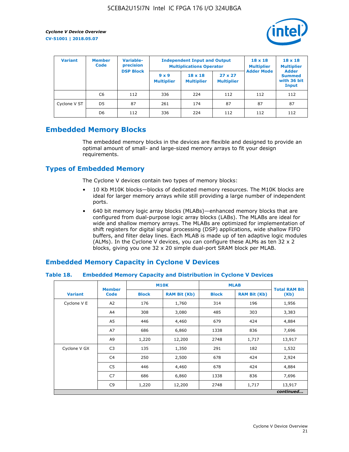

| <b>Variant</b> | Variable-<br><b>Member</b><br>precision<br><b>Code</b> |                  |                                   | <b>Independent Input and Output</b><br><b>Multiplications Operator</b> | $18 \times 18$<br><b>Multiplier</b> | $18 \times 18$<br><b>Multiplier</b><br><b>Adder</b> |                                       |
|----------------|--------------------------------------------------------|------------------|-----------------------------------|------------------------------------------------------------------------|-------------------------------------|-----------------------------------------------------|---------------------------------------|
|                |                                                        | <b>DSP Block</b> | $9 \times 9$<br><b>Multiplier</b> | $18 \times 18$<br><b>Multiplier</b>                                    | $27 \times 27$<br><b>Multiplier</b> | <b>Adder Mode</b>                                   | <b>Summed</b><br>with 36 bit<br>Input |
|                | C6                                                     | 112              | 336                               | 224                                                                    | 112                                 | 112                                                 | 112                                   |
| Cyclone V ST   | D <sub>5</sub>                                         | 87               | 261                               | 174                                                                    | 87                                  | 87                                                  | 87                                    |
|                | D <sub>6</sub>                                         | 112              | 336                               | 224                                                                    | 112                                 | 112                                                 | 112                                   |

## **Embedded Memory Blocks**

The embedded memory blocks in the devices are flexible and designed to provide an optimal amount of small- and large-sized memory arrays to fit your design requirements.

## **Types of Embedded Memory**

The Cyclone V devices contain two types of memory blocks:

- 10 Kb M10K blocks—blocks of dedicated memory resources. The M10K blocks are ideal for larger memory arrays while still providing a large number of independent ports.
- 640 bit memory logic array blocks (MLABs)—enhanced memory blocks that are configured from dual-purpose logic array blocks (LABs). The MLABs are ideal for wide and shallow memory arrays. The MLABs are optimized for implementation of shift registers for digital signal processing (DSP) applications, wide shallow FIFO buffers, and filter delay lines. Each MLAB is made up of ten adaptive logic modules (ALMs). In the Cyclone V devices, you can configure these ALMs as ten 32 x 2 blocks, giving you one 32 x 20 simple dual-port SRAM block per MLAB.

## **Embedded Memory Capacity in Cyclone V Devices**

#### **Table 18. Embedded Memory Capacity and Distribution in Cyclone V Devices**

|                | <b>Member</b>  | <b>M10K</b>  |                     | <b>MLAB</b>  | <b>Total RAM Bit</b> |        |  |  |  |
|----------------|----------------|--------------|---------------------|--------------|----------------------|--------|--|--|--|
| <b>Variant</b> | <b>Code</b>    | <b>Block</b> | <b>RAM Bit (Kb)</b> | <b>Block</b> | <b>RAM Bit (Kb)</b>  | (Kb)   |  |  |  |
| Cyclone V E    | A2             | 176          | 1,760               | 314          | 196                  | 1,956  |  |  |  |
|                | A4             | 308          | 3,080               | 485          | 303                  | 3,383  |  |  |  |
|                | A5             | 446          | 4,460               | 679          | 424                  | 4,884  |  |  |  |
|                | A7             | 686          | 6,860               | 1338         | 836                  | 7,696  |  |  |  |
|                | A9             | 1,220        | 12,200              | 2748         | 1,717                | 13,917 |  |  |  |
| Cyclone V GX   | C <sub>3</sub> | 135          | 1,350               | 291          | 182                  | 1,532  |  |  |  |
|                | C4             | 250          | 2,500               | 678          | 424                  | 2,924  |  |  |  |
|                | C5             | 446          | 4,460               | 678          | 424                  | 4,884  |  |  |  |
|                | C7             | 686          | 6,860               | 1338         | 836                  | 7,696  |  |  |  |
|                | C <sub>9</sub> | 1,220        | 12,200              | 2748         | 1,717                | 13,917 |  |  |  |
|                | continued      |              |                     |              |                      |        |  |  |  |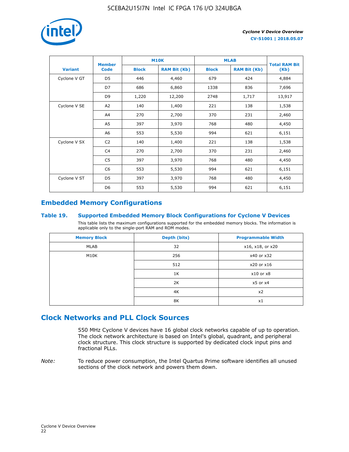

|                | <b>Member</b>  | <b>M10K</b>  |                     | <b>MLAB</b>  | <b>Total RAM Bit</b> |        |  |
|----------------|----------------|--------------|---------------------|--------------|----------------------|--------|--|
| <b>Variant</b> | <b>Code</b>    | <b>Block</b> | <b>RAM Bit (Kb)</b> | <b>Block</b> |                      | (Kb)   |  |
| Cyclone V GT   | D <sub>5</sub> | 446          | 4,460               | 679          | 424                  | 4,884  |  |
|                | D7             | 686          | 6,860               | 1338         | 836                  | 7,696  |  |
|                | D <sub>9</sub> | 1,220        | 12,200              | 2748         | 1,717                | 13,917 |  |
| Cyclone V SE   | A <sub>2</sub> | 140          | 1,400               | 221          | 138                  | 1,538  |  |
|                | A4             | 270          | 2,700               | 370          | 231                  | 2,460  |  |
|                | A5             | 397          | 3,970               | 768          | 480                  | 4,450  |  |
|                | A6             | 553          | 5,530               | 994          | 621                  | 6,151  |  |
| Cyclone V SX   | C <sub>2</sub> | 140          | 1,400               | 221          | 138                  | 1,538  |  |
|                | C4             | 270          | 2,700               | 370          | 231                  | 2,460  |  |
|                | C5             | 397          | 3,970               | 768          | 480                  | 4,450  |  |
|                | C6             | 553          | 5,530               | 994          | 621                  | 6,151  |  |
| Cyclone V ST   | D <sub>5</sub> | 397          | 3,970               | 768          | 480                  | 4,450  |  |
|                | D <sub>6</sub> | 553          | 5,530               | 994          | 621                  | 6,151  |  |

## **Embedded Memory Configurations**

#### **Table 19. Supported Embedded Memory Block Configurations for Cyclone V Devices**

This table lists the maximum configurations supported for the embedded memory blocks. The information is applicable only to the single-port RAM and ROM modes.

| <b>Memory Block</b> | Depth (bits) | <b>Programmable Width</b> |
|---------------------|--------------|---------------------------|
| MLAB                | 32           | x16, x18, or x20          |
| M10K                | 256          | x40 or x32                |
|                     | 512          | x20 or x16                |
|                     | 1K           | $x10$ or $x8$             |
|                     | 2K           | $x5$ or $x4$              |
|                     | 4K           | x2                        |
|                     | 8K           | x1                        |

## **Clock Networks and PLL Clock Sources**

550 MHz Cyclone V devices have 16 global clock networks capable of up to operation. The clock network architecture is based on Intel's global, quadrant, and peripheral clock structure. This clock structure is supported by dedicated clock input pins and fractional PLLs.

*Note:* To reduce power consumption, the Intel Quartus Prime software identifies all unused sections of the clock network and powers them down.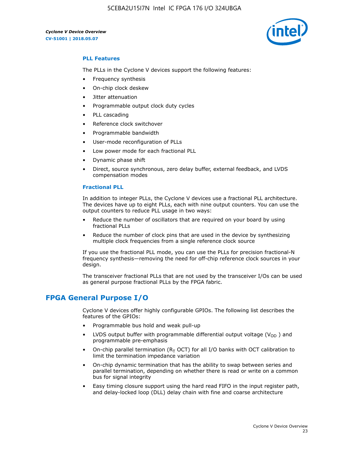5CEBA2U15I7N Intel IC FPGA 176 I/O 324UBGA



#### **PLL Features**

The PLLs in the Cyclone V devices support the following features:

- Frequency synthesis
- On-chip clock deskew
- Jitter attenuation
- Programmable output clock duty cycles
- PLL cascading
- Reference clock switchover
- Programmable bandwidth
- User-mode reconfiguration of PLLs
- Low power mode for each fractional PLL
- Dynamic phase shift
- Direct, source synchronous, zero delay buffer, external feedback, and LVDS compensation modes

#### **Fractional PLL**

In addition to integer PLLs, the Cyclone V devices use a fractional PLL architecture. The devices have up to eight PLLs, each with nine output counters. You can use the output counters to reduce PLL usage in two ways:

- Reduce the number of oscillators that are required on your board by using fractional PLLs
- Reduce the number of clock pins that are used in the device by synthesizing multiple clock frequencies from a single reference clock source

If you use the fractional PLL mode, you can use the PLLs for precision fractional-N frequency synthesis—removing the need for off-chip reference clock sources in your design.

The transceiver fractional PLLs that are not used by the transceiver I/Os can be used as general purpose fractional PLLs by the FPGA fabric.

## **FPGA General Purpose I/O**

Cyclone V devices offer highly configurable GPIOs. The following list describes the features of the GPIOs:

- Programmable bus hold and weak pull-up
- LVDS output buffer with programmable differential output voltage ( $V_{OD}$ ) and programmable pre-emphasis
- On-chip parallel termination ( $R<sub>T</sub>$  OCT) for all I/O banks with OCT calibration to limit the termination impedance variation
- On-chip dynamic termination that has the ability to swap between series and parallel termination, depending on whether there is read or write on a common bus for signal integrity
- Easy timing closure support using the hard read FIFO in the input register path, and delay-locked loop (DLL) delay chain with fine and coarse architecture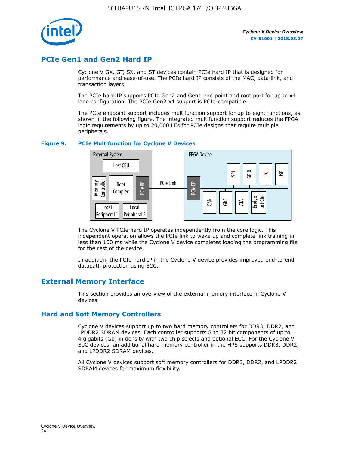

## **PCIe Gen1 and Gen2 Hard IP**

Cyclone V GX, GT, SX, and ST devices contain PCIe hard IP that is designed for performance and ease-of-use. The PCIe hard IP consists of the MAC, data link, and transaction layers.

The PCIe hard IP supports PCIe Gen2 and Gen1 end point and root port for up to x4 lane configuration. The PCIe Gen2 x4 support is PCIe-compatible.

The PCIe endpoint support includes multifunction support for up to eight functions, as shown in the following figure. The integrated multifunction support reduces the FPGA logic requirements by up to 20,000 LEs for PCIe designs that require multiple peripherals.

#### **Figure 9. PCIe Multifunction for Cyclone V Devices**



The Cyclone V PCIe hard IP operates independently from the core logic. This independent operation allows the PCIe link to wake up and complete link training in less than 100 ms while the Cyclone V device completes loading the programming file for the rest of the device.

In addition, the PCIe hard IP in the Cyclone V device provides improved end-to-end datapath protection using ECC.

## **External Memory Interface**

This section provides an overview of the external memory interface in Cyclone V devices.

#### **Hard and Soft Memory Controllers**

Cyclone V devices support up to two hard memory controllers for DDR3, DDR2, and LPDDR2 SDRAM devices. Each controller supports 8 to 32 bit components of up to 4 gigabits (Gb) in density with two chip selects and optional ECC. For the Cyclone V SoC devices, an additional hard memory controller in the HPS supports DDR3, DDR2, and LPDDR2 SDRAM devices.

All Cyclone V devices support soft memory controllers for DDR3, DDR2, and LPDDR2 SDRAM devices for maximum flexibility.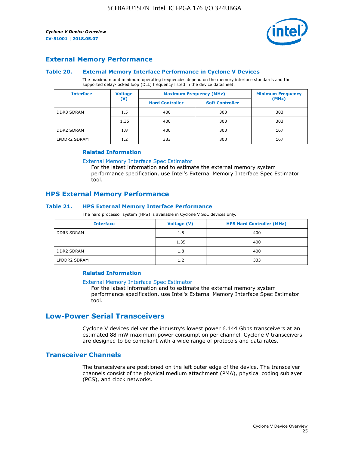

#### **External Memory Performance**

#### **Table 20. External Memory Interface Performance in Cyclone V Devices**

The maximum and minimum operating frequencies depend on the memory interface standards and the supported delay-locked loop (DLL) frequency listed in the device datasheet.

| <b>Voltage</b><br><b>Interface</b> |                | <b>Maximum Frequency (MHz)</b> | <b>Minimum Frequency</b> |       |
|------------------------------------|----------------|--------------------------------|--------------------------|-------|
|                                    | $(\mathsf{V})$ | <b>Hard Controller</b>         | <b>Soft Controller</b>   | (MHz) |
| <b>DDR3 SDRAM</b>                  | 1.5            | 400                            | 303                      | 303   |
|                                    | 1.35           | 400                            | 303                      | 303   |
| <b>DDR2 SDRAM</b>                  | 1.8            | 400                            | 300                      | 167   |
| LPDDR2 SDRAM                       | 1.2            | 333                            | 300                      | 167   |

#### **Related Information**

[External Memory Interface Spec Estimator](https://www.altera.com/solutions/technology/external-memory/spec-estimator.html)

For the latest information and to estimate the external memory system performance specification, use Intel's External Memory Interface Spec Estimator tool.

#### **HPS External Memory Performance**

#### **Table 21. HPS External Memory Interface Performance**

The hard processor system (HPS) is available in Cyclone V SoC devices only.

| <b>Interface</b>  | <b>Voltage (V)</b> | <b>HPS Hard Controller (MHz)</b> |
|-------------------|--------------------|----------------------------------|
| DDR3 SDRAM        | 1.5                | 400                              |
|                   | 1.35               | 400                              |
| <b>DDR2 SDRAM</b> | 1.8                | 400                              |
| LPDDR2 SDRAM      | 1.2                | 333                              |

#### **Related Information**

#### [External Memory Interface Spec Estimator](https://www.altera.com/solutions/technology/external-memory/spec-estimator.html)

For the latest information and to estimate the external memory system performance specification, use Intel's External Memory Interface Spec Estimator tool.

## **Low-Power Serial Transceivers**

Cyclone V devices deliver the industry's lowest power 6.144 Gbps transceivers at an estimated 88 mW maximum power consumption per channel. Cyclone V transceivers are designed to be compliant with a wide range of protocols and data rates.

#### **Transceiver Channels**

The transceivers are positioned on the left outer edge of the device. The transceiver channels consist of the physical medium attachment (PMA), physical coding sublayer (PCS), and clock networks.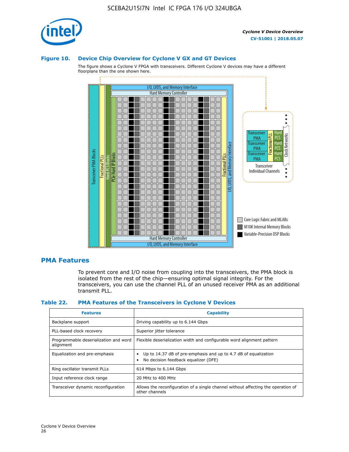

#### **Figure 10. Device Chip Overview for Cyclone V GX and GT Devices**

The figure shows a Cyclone V FPGA with transceivers. Different Cyclone V devices may have a different floorplans than the one shown here.



#### **PMA Features**

To prevent core and I/O noise from coupling into the transceivers, the PMA block is isolated from the rest of the chip—ensuring optimal signal integrity. For the transceivers, you can use the channel PLL of an unused receiver PMA as an additional transmit PLL.

#### **Table 22. PMA Features of the Transceivers in Cyclone V Devices**

| <b>Features</b>                                    | <b>Capability</b>                                                                                       |
|----------------------------------------------------|---------------------------------------------------------------------------------------------------------|
| Backplane support                                  | Driving capability up to 6.144 Gbps                                                                     |
| PLL-based clock recovery                           | Superior jitter tolerance                                                                               |
| Programmable deserialization and word<br>alignment | Flexible deserialization width and configurable word alignment pattern                                  |
| Equalization and pre-emphasis                      | Up to 14.37 dB of pre-emphasis and up to 4.7 dB of equalization<br>No decision feedback equalizer (DFE) |
| Ring oscillator transmit PLLs                      | 614 Mbps to 6.144 Gbps                                                                                  |
| Input reference clock range                        | 20 MHz to 400 MHz                                                                                       |
| Transceiver dynamic reconfiguration                | Allows the reconfiguration of a single channel without affecting the operation of<br>other channels     |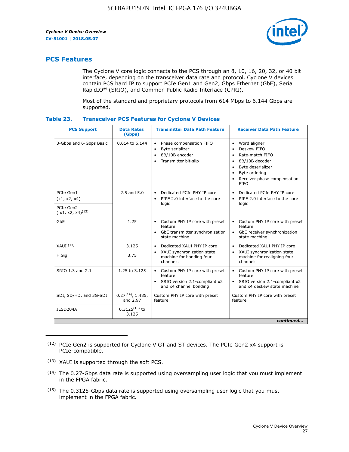

## **PCS Features**

The Cyclone V core logic connects to the PCS through an 8, 10, 16, 20, 32, or 40 bit interface, depending on the transceiver data rate and protocol. Cyclone V devices contain PCS hard IP to support PCIe Gen1 and Gen2, Gbps Ethernet (GbE), Serial RapidIO® (SRIO), and Common Public Radio Interface (CPRI).

Most of the standard and proprietary protocols from 614 Mbps to 6.144 Gbps are supported.

| Table 23. |  | <b>Transceiver PCS Features for Cyclone V Devices</b> |
|-----------|--|-------------------------------------------------------|
|           |  |                                                       |

| <b>PCS Support</b>                 | <b>Data Rates</b><br>(Gbps)        | <b>Transmitter Data Path Feature</b>                                                                           | <b>Receiver Data Path Feature</b>                                                                                                                                                                                                  |  |  |
|------------------------------------|------------------------------------|----------------------------------------------------------------------------------------------------------------|------------------------------------------------------------------------------------------------------------------------------------------------------------------------------------------------------------------------------------|--|--|
| 3-Gbps and 6-Gbps Basic            | 0.614 to 6.144                     | Phase compensation FIFO<br>$\bullet$<br>Byte serializer<br>8B/10B encoder<br>Transmitter bit-slip<br>$\bullet$ | Word aligner<br>$\bullet$<br>Deskew FIFO<br>$\bullet$<br>Rate-match FIFO<br>$\bullet$<br>8B/10B decoder<br>$\bullet$<br>Byte deserializer<br>$\bullet$<br>Byte ordering<br>$\bullet$<br>Receiver phase compensation<br><b>FIFO</b> |  |  |
| PCIe Gen1<br>(x1, x2, x4)          | $2.5$ and $5.0$                    | Dedicated PCIe PHY IP core<br>PIPE 2.0 interface to the core<br>$\bullet$<br>logic                             | Dedicated PCIe PHY IP core<br>$\bullet$<br>PIPE 2.0 interface to the core<br>$\bullet$<br>logic                                                                                                                                    |  |  |
| PCIe Gen2<br>$(x1, x2, x4)^{(12)}$ |                                    |                                                                                                                |                                                                                                                                                                                                                                    |  |  |
| GbE                                | 1.25                               | • Custom PHY IP core with preset<br>feature<br>GbE transmitter synchronization<br>$\bullet$<br>state machine   | Custom PHY IP core with preset<br>feature<br>GbE receiver synchronization<br>state machine                                                                                                                                         |  |  |
| $XAlJI$ $(13)$                     | 3.125                              | Dedicated XAUI PHY IP core<br>$\bullet$                                                                        | Dedicated XAUI PHY IP core<br>$\bullet$                                                                                                                                                                                            |  |  |
| <b>HiGig</b>                       | 3.75                               | XAUI synchronization state<br>$\bullet$<br>machine for bonding four<br>channels                                | XAUI synchronization state<br>$\bullet$<br>machine for realigning four<br>channels                                                                                                                                                 |  |  |
| SRIO 1.3 and 2.1                   | 1.25 to 3.125                      | • Custom PHY IP core with preset<br>feature<br>• SRIO version 2.1-compliant x2<br>and x4 channel bonding       | • Custom PHY IP core with preset<br>feature<br>• SRIO version 2.1-compliant x2<br>and x4 deskew state machine                                                                                                                      |  |  |
| SDI, SD/HD, and 3G-SDI             | $0.27^{(14)}$ , 1.485,<br>and 2.97 | Custom PHY IP core with preset<br>feature                                                                      | Custom PHY IP core with preset<br>feature                                                                                                                                                                                          |  |  |
| JESD204A                           | $0.3125^{(15)}$ to<br>3.125        |                                                                                                                |                                                                                                                                                                                                                                    |  |  |
| continued                          |                                    |                                                                                                                |                                                                                                                                                                                                                                    |  |  |

<sup>(12)</sup> PCIe Gen2 is supported for Cyclone V GT and ST devices. The PCIe Gen2 x4 support is PCIe-compatible.

<sup>(13)</sup> XAUI is supported through the soft PCS.

<sup>(14)</sup> The 0.27-Gbps data rate is supported using oversampling user logic that you must implement in the FPGA fabric.

<sup>(15)</sup> The 0.3125-Gbps data rate is supported using oversampling user logic that you must implement in the FPGA fabric.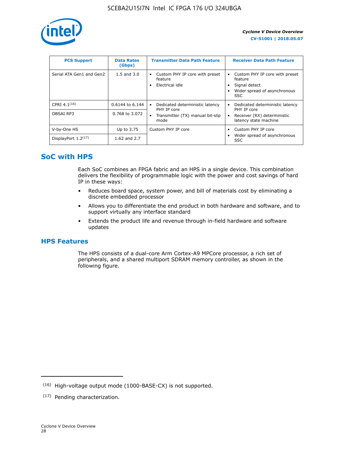

| <b>PCS Support</b>       | <b>Data Rates</b><br>(Gbps) | <b>Transmitter Data Path Feature</b>                         | <b>Receiver Data Path Feature</b>                                                                  |
|--------------------------|-----------------------------|--------------------------------------------------------------|----------------------------------------------------------------------------------------------------|
| Serial ATA Gen1 and Gen2 | $1.5$ and $3.0$             | Custom PHY IP core with preset<br>feature<br>Electrical idle | Custom PHY IP core with preset<br>feature<br>Signal detect<br>Wider spread of asynchronous<br>SSC. |
| CPRI $4.1^{(16)}$        | 0.6144 to 6.144             | Dedicated deterministic latency<br>$\bullet$<br>PHY IP core  | Dedicated deterministic latency<br>PHY IP core                                                     |
| OBSAI RP3                | 0.768 to 3.072              | Transmitter (TX) manual bit-slip<br>mode                     | Receiver (RX) deterministic<br>latency state machine                                               |
| V-by-One HS              | Up to 3.75                  | Custom PHY IP core                                           | Custom PHY IP core                                                                                 |
| DisplayPort $1.2^{(17)}$ | 1.62 and $2.7$              |                                                              | Wider spread of asynchronous<br><b>SSC</b>                                                         |

## **SoC with HPS**

Each SoC combines an FPGA fabric and an HPS in a single device. This combination delivers the flexibility of programmable logic with the power and cost savings of hard IP in these ways:

- Reduces board space, system power, and bill of materials cost by eliminating a discrete embedded processor
- Allows you to differentiate the end product in both hardware and software, and to support virtually any interface standard
- Extends the product life and revenue through in-field hardware and software updates

## **HPS Features**

The HPS consists of a dual-core Arm Cortex-A9 MPCore processor, a rich set of peripherals, and a shared multiport SDRAM memory controller, as shown in the following figure.

<sup>(16)</sup> High-voltage output mode (1000-BASE-CX) is not supported.

<sup>(17)</sup> Pending characterization.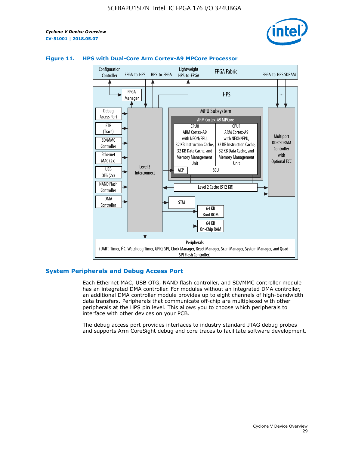



#### **Figure 11. HPS with Dual-Core Arm Cortex-A9 MPCore Processor**

#### **System Peripherals and Debug Access Port**

Each Ethernet MAC, USB OTG, NAND flash controller, and SD/MMC controller module has an integrated DMA controller. For modules without an integrated DMA controller, an additional DMA controller module provides up to eight channels of high-bandwidth data transfers. Peripherals that communicate off-chip are multiplexed with other peripherals at the HPS pin level. This allows you to choose which peripherals to interface with other devices on your PCB.

The debug access port provides interfaces to industry standard JTAG debug probes and supports Arm CoreSight debug and core traces to facilitate software development.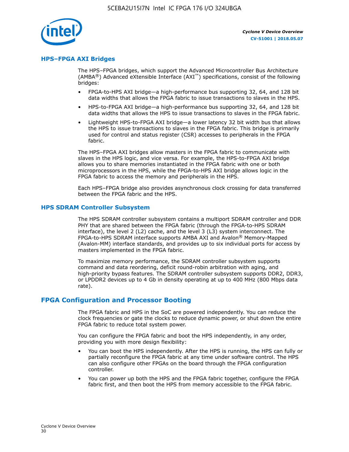

#### **HPS–FPGA AXI Bridges**

The HPS–FPGA bridges, which support the Advanced Microcontroller Bus Architecture (AMBA<sup>®</sup>) Advanced eXtensible Interface (AXI<sup>™</sup>) specifications, consist of the following bridges:

- FPGA-to-HPS AXI bridge—a high-performance bus supporting 32, 64, and 128 bit data widths that allows the FPGA fabric to issue transactions to slaves in the HPS.
- HPS-to-FPGA AXI bridge—a high-performance bus supporting 32, 64, and 128 bit data widths that allows the HPS to issue transactions to slaves in the FPGA fabric.
- Lightweight HPS-to-FPGA AXI bridge—a lower latency 32 bit width bus that allows the HPS to issue transactions to slaves in the FPGA fabric. This bridge is primarily used for control and status register (CSR) accesses to peripherals in the FPGA fabric.

The HPS–FPGA AXI bridges allow masters in the FPGA fabric to communicate with slaves in the HPS logic, and vice versa. For example, the HPS-to-FPGA AXI bridge allows you to share memories instantiated in the FPGA fabric with one or both microprocessors in the HPS, while the FPGA-to-HPS AXI bridge allows logic in the FPGA fabric to access the memory and peripherals in the HPS.

Each HPS–FPGA bridge also provides asynchronous clock crossing for data transferred between the FPGA fabric and the HPS.

#### **HPS SDRAM Controller Subsystem**

The HPS SDRAM controller subsystem contains a multiport SDRAM controller and DDR PHY that are shared between the FPGA fabric (through the FPGA-to-HPS SDRAM interface), the level 2 (L2) cache, and the level 3 (L3) system interconnect. The FPGA-to-HPS SDRAM interface supports AMBA AXI and Avalon® Memory-Mapped (Avalon-MM) interface standards, and provides up to six individual ports for access by masters implemented in the FPGA fabric.

To maximize memory performance, the SDRAM controller subsystem supports command and data reordering, deficit round-robin arbitration with aging, and high-priority bypass features. The SDRAM controller subsystem supports DDR2, DDR3, or LPDDR2 devices up to 4 Gb in density operating at up to 400 MHz (800 Mbps data rate).

#### **FPGA Configuration and Processor Booting**

The FPGA fabric and HPS in the SoC are powered independently. You can reduce the clock frequencies or gate the clocks to reduce dynamic power, or shut down the entire FPGA fabric to reduce total system power.

You can configure the FPGA fabric and boot the HPS independently, in any order, providing you with more design flexibility:

- You can boot the HPS independently. After the HPS is running, the HPS can fully or partially reconfigure the FPGA fabric at any time under software control. The HPS can also configure other FPGAs on the board through the FPGA configuration controller.
- You can power up both the HPS and the FPGA fabric together, configure the FPGA fabric first, and then boot the HPS from memory accessible to the FPGA fabric.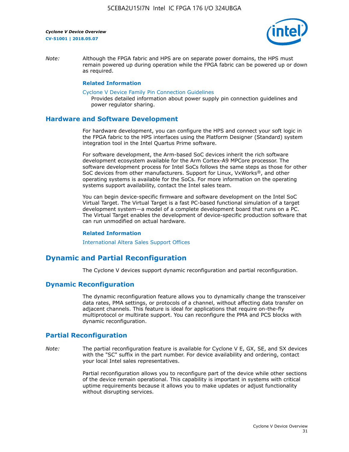

*Note:* Although the FPGA fabric and HPS are on separate power domains, the HPS must remain powered up during operation while the FPGA fabric can be powered up or down as required.

#### **Related Information**

[Cyclone V Device Family Pin Connection Guidelines](https://www.altera.com/content/dam/altera-www/global/en_US/pdfs/literature/dp/cyclone-v/pcg-01014.pdf)

Provides detailed information about power supply pin connection guidelines and power regulator sharing.

#### **Hardware and Software Development**

For hardware development, you can configure the HPS and connect your soft logic in the FPGA fabric to the HPS interfaces using the Platform Designer (Standard) system integration tool in the Intel Quartus Prime software.

For software development, the Arm-based SoC devices inherit the rich software development ecosystem available for the Arm Cortex-A9 MPCore processor. The software development process for Intel SoCs follows the same steps as those for other SoC devices from other manufacturers. Support for Linux, VxWorks®, and other operating systems is available for the SoCs. For more information on the operating systems support availability, contact the Intel sales team.

You can begin device-specific firmware and software development on the Intel SoC Virtual Target. The Virtual Target is a fast PC-based functional simulation of a target development system—a model of a complete development board that runs on a PC. The Virtual Target enables the development of device-specific production software that can run unmodified on actual hardware.

#### **Related Information**

[International Altera Sales Support Offices](https://www.altera.com/about/contact/contact/international-altera-sales-offices.html)

## **Dynamic and Partial Reconfiguration**

The Cyclone V devices support dynamic reconfiguration and partial reconfiguration.

#### **Dynamic Reconfiguration**

The dynamic reconfiguration feature allows you to dynamically change the transceiver data rates, PMA settings, or protocols of a channel, without affecting data transfer on adjacent channels. This feature is ideal for applications that require on-the-fly multiprotocol or multirate support. You can reconfigure the PMA and PCS blocks with dynamic reconfiguration.

## **Partial Reconfiguration**

*Note:* The partial reconfiguration feature is available for Cyclone V E, GX, SE, and SX devices with the "SC" suffix in the part number. For device availability and ordering, contact your local Intel sales representatives.

> Partial reconfiguration allows you to reconfigure part of the device while other sections of the device remain operational. This capability is important in systems with critical uptime requirements because it allows you to make updates or adjust functionality without disrupting services.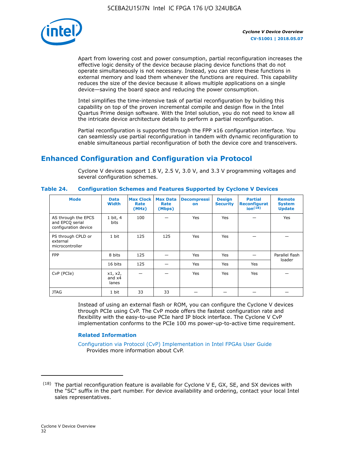

Apart from lowering cost and power consumption, partial reconfiguration increases the effective logic density of the device because placing device functions that do not operate simultaneously is not necessary. Instead, you can store these functions in external memory and load them whenever the functions are required. This capability reduces the size of the device because it allows multiple applications on a single device—saving the board space and reducing the power consumption.

Intel simplifies the time-intensive task of partial reconfiguration by building this capability on top of the proven incremental compile and design flow in the Intel Quartus Prime design software. With the Intel solution, you do not need to know all the intricate device architecture details to perform a partial reconfiguration.

Partial reconfiguration is supported through the FPP x16 configuration interface. You can seamlessly use partial reconfiguration in tandem with dynamic reconfiguration to enable simultaneous partial reconfiguration of both the device core and transceivers.

## **Enhanced Configuration and Configuration via Protocol**

Cyclone V devices support 1.8 V, 2.5 V, 3.0 V, and 3.3 V programming voltages and several configuration schemes.

| <b>Mode</b>                                                    | <b>Data</b><br>Width         | Max Clock  <br>Rate<br>(MHz) | <b>Max Data</b><br>Rate<br>(Mbps) | <b>Decompressi</b><br>on | <b>Design</b><br><b>Security</b> | <b>Partial</b><br>Reconfigurat<br>ion <sup>(18)</sup> | <b>Remote</b><br><b>System</b><br><b>Update</b> |
|----------------------------------------------------------------|------------------------------|------------------------------|-----------------------------------|--------------------------|----------------------------------|-------------------------------------------------------|-------------------------------------------------|
| AS through the EPCS<br>and EPCQ serial<br>configuration device | 1 bit, 4<br>bits             | 100                          |                                   | Yes                      | <b>Yes</b>                       |                                                       | Yes                                             |
| PS through CPLD or<br>external<br>microcontroller              | 1 bit                        | 125                          | 125                               | Yes                      | Yes                              |                                                       |                                                 |
| <b>FPP</b>                                                     | 8 bits                       | 125                          |                                   | Yes                      | <b>Yes</b>                       |                                                       | Parallel flash                                  |
|                                                                | 16 bits                      | 125                          |                                   | Yes                      | <b>Yes</b>                       | Yes                                                   | loader                                          |
| CvP (PCIe)                                                     | x1, x2,<br>and $x4$<br>lanes |                              |                                   | Yes                      | <b>Yes</b>                       | Yes                                                   |                                                 |
| <b>JTAG</b>                                                    | 1 bit                        | 33                           | 33                                |                          |                                  |                                                       |                                                 |

**Table 24. Configuration Schemes and Features Supported by Cyclone V Devices**

Instead of using an external flash or ROM, you can configure the Cyclone V devices through PCIe using CvP. The CvP mode offers the fastest configuration rate and flexibility with the easy-to-use PCIe hard IP block interface. The Cyclone V CvP implementation conforms to the PCIe 100 ms power-up-to-active time requirement.

#### **Related Information**

[Configuration via Protocol \(CvP\) Implementation in Intel FPGAs User Guide](https://www.altera.com/documentation/nik1412546950394.html#nik1412546833714) Provides more information about CvP.

 $(18)$  The partial reconfiguration feature is available for Cyclone V E, GX, SE, and SX devices with the "SC" suffix in the part number. For device availability and ordering, contact your local Intel sales representatives.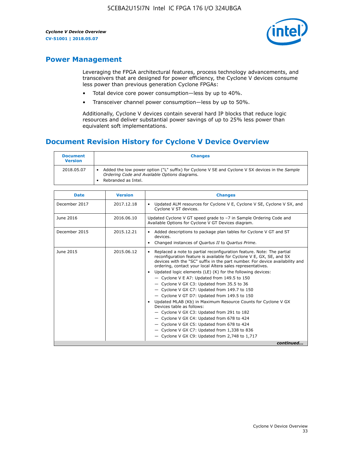

## **Power Management**

Leveraging the FPGA architectural features, process technology advancements, and transceivers that are designed for power efficiency, the Cyclone V devices consume less power than previous generation Cyclone FPGAs:

- Total device core power consumption—less by up to 40%.
- Transceiver channel power consumption—less by up to 50%.

Additionally, Cyclone V devices contain several hard IP blocks that reduce logic resources and deliver substantial power savings of up to 25% less power than equivalent soft implementations.

## **Document Revision History for Cyclone V Device Overview**

| <b>Document</b><br><b>Version</b> | <b>Changes</b>                                                                                                                                                          |
|-----------------------------------|-------------------------------------------------------------------------------------------------------------------------------------------------------------------------|
| 2018.05.07                        | Added the low power option ("L" suffix) for Cyclone V SE and Cyclone V SX devices in the Sample<br>Ordering Code and Available Options diagrams.<br>Rebranded as Intel. |

| <b>Date</b>   | <b>Version</b> | <b>Changes</b>                                                                                                                                                                                                                                                                                                                                                                                                                                                                                                                                                                                                                                                                                                                                                                                                                                                                                                  |
|---------------|----------------|-----------------------------------------------------------------------------------------------------------------------------------------------------------------------------------------------------------------------------------------------------------------------------------------------------------------------------------------------------------------------------------------------------------------------------------------------------------------------------------------------------------------------------------------------------------------------------------------------------------------------------------------------------------------------------------------------------------------------------------------------------------------------------------------------------------------------------------------------------------------------------------------------------------------|
| December 2017 | 2017.12.18     | Updated ALM resources for Cyclone V E, Cyclone V SE, Cyclone V SX, and<br>Cyclone V ST devices.                                                                                                                                                                                                                                                                                                                                                                                                                                                                                                                                                                                                                                                                                                                                                                                                                 |
| June 2016     | 2016.06.10     | Updated Cyclone V GT speed grade to -7 in Sample Ordering Code and<br>Available Options for Cyclone V GT Devices diagram.                                                                                                                                                                                                                                                                                                                                                                                                                                                                                                                                                                                                                                                                                                                                                                                       |
| December 2015 | 2015.12.21     | Added descriptions to package plan tables for Cyclone V GT and ST<br>devices.<br>Changed instances of Quartus II to Quartus Prime.                                                                                                                                                                                                                                                                                                                                                                                                                                                                                                                                                                                                                                                                                                                                                                              |
| June 2015     | 2015.06.12     | Replaced a note to partial reconfiguration feature. Note: The partial<br>reconfiguration feature is available for Cyclone V E, GX, SE, and SX<br>devices with the "SC" suffix in the part number. For device availability and<br>ordering, contact your local Altera sales representatives.<br>Updated logic elements (LE) (K) for the following devices:<br>$\bullet$<br>- Cyclone V E A7: Updated from 149.5 to 150<br>- Cyclone V GX C3: Updated from 35.5 to 36<br>- Cyclone V GX C7: Updated from 149.7 to 150<br>- Cyclone V GT D7: Updated from 149.5 to 150<br>Updated MLAB (Kb) in Maximum Resource Counts for Cyclone V GX<br>Devices table as follows:<br>- Cyclone V GX C3: Updated from 291 to 182<br>- Cyclone V GX C4: Updated from 678 to 424<br>- Cyclone V GX C5: Updated from 678 to 424<br>- Cyclone V GX C7: Updated from 1,338 to 836<br>$-$ Cyclone V GX C9: Updated from 2,748 to 1,717 |
|               |                | continued                                                                                                                                                                                                                                                                                                                                                                                                                                                                                                                                                                                                                                                                                                                                                                                                                                                                                                       |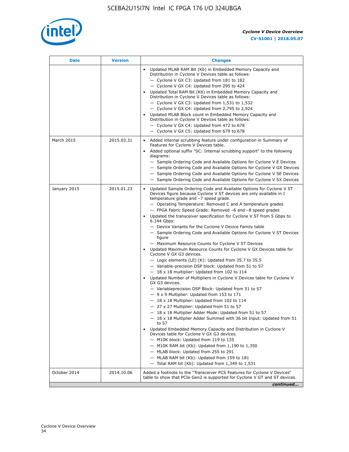

| <b>Date</b>  | <b>Version</b> | <b>Changes</b>                                                                                                                                                                                                                                                                                                                                                                                                                                                                                                                                                                                                                                                                                                                                                                                                                                                                                                                                                                                                                                                                                                                                                                                                                                                                                                                                                                                                                                                                                                                                                                                                                                                                                                |
|--------------|----------------|---------------------------------------------------------------------------------------------------------------------------------------------------------------------------------------------------------------------------------------------------------------------------------------------------------------------------------------------------------------------------------------------------------------------------------------------------------------------------------------------------------------------------------------------------------------------------------------------------------------------------------------------------------------------------------------------------------------------------------------------------------------------------------------------------------------------------------------------------------------------------------------------------------------------------------------------------------------------------------------------------------------------------------------------------------------------------------------------------------------------------------------------------------------------------------------------------------------------------------------------------------------------------------------------------------------------------------------------------------------------------------------------------------------------------------------------------------------------------------------------------------------------------------------------------------------------------------------------------------------------------------------------------------------------------------------------------------------|
|              |                | Updated MLAB RAM Bit (Kb) in Embedded Memory Capacity and<br>Distribution in Cyclone V Devices table as follows:<br>- Cyclone V GX C3: Updated from 181 to 182<br>- Cyclone V GX C4: Updated from 295 to 424<br>Updated Total RAM Bit (Kb) in Embedded Memory Capacity and<br>Distribution in Cyclone V Devices table as follows:<br>- Cyclone V GX C3: Updated from $1,531$ to $1,532$<br>- Cyclone V GX C4: Updated from 2,795 to 2,924<br>Updated MLAB Block count in Embedded Memory Capacity and<br>Distribution in Cyclone V Devices table as follows:<br>- Cyclone V GX C4: Updated from 472 to 678<br>- Cyclone V GX C5: Updated from 679 to 678                                                                                                                                                                                                                                                                                                                                                                                                                                                                                                                                                                                                                                                                                                                                                                                                                                                                                                                                                                                                                                                      |
| March 2015   | 2015.03.31     | Added internal scrubbing feature under configuration in Summary of<br>$\bullet$<br>Features for Cyclone V Devices table.<br>Added optional suffix "SC: Internal scrubbing support" to the following<br>diagrams:<br>- Sample Ordering Code and Available Options for Cyclone V E Devices<br>- Sample Ordering Code and Available Options for Cyclone V GX Devices<br>- Sample Ordering Code and Available Options for Cyclone V SE Devices<br>- Sample Ordering Code and Available Options for Cyclone V SX Devices                                                                                                                                                                                                                                                                                                                                                                                                                                                                                                                                                                                                                                                                                                                                                                                                                                                                                                                                                                                                                                                                                                                                                                                           |
| January 2015 | 2015.01.23     | Updated Sample Ordering Code and Available Options for Cyclone V ST<br>Devices figure because Cyclone V ST devices are only available in I<br>temperature grade and -7 speed grade.<br>- Operating Temperature: Removed C and A temperature grades<br>- FPGA Fabric Speed Grade: Removed -6 and -8 speed grades<br>Updated the transceiver specification for Cyclone V ST from 5 Gbps to<br>6.144 Gbps:<br>- Device Variants for the Cyclone V Device Family table<br>- Sample Ordering Code and Available Options for Cyclone V ST Devices<br>figure<br>- Maximum Resource Counts for Cyclone V ST Devices<br>Updated Maximum Resource Counts for Cyclone V GX Devices table for<br>Cyclone V GX G3 devices.<br>$-$ Logic elements (LE) (K): Updated from 35.7 to 35.5<br>- Variable-precision DSP block: Updated from 51 to 57<br>$-18 \times 18$ multiplier: Updated from 102 to 114<br>Updated Number of Multipliers in Cyclone V Devices table for Cyclone V<br>GX G3 devices.<br>- Variableprecision DSP Block: Updated from 51 to 57<br>$-9x9$ Multiplier: Updated from 153 to 171<br>$-18 \times 18$ Multiplier: Updated from 102 to 114<br>- 27 x 27 Multiplier: Updated from 51 to 57<br>- 18 x 18 Multiplier Adder Mode: Updated from 51 to 57<br>$-18 \times 18$ Multiplier Adder Summed with 36 bit Input: Updated from 51<br>to 57<br>Updated Embedded Memory Capacity and Distribution in Cyclone V<br>Devices table for Cyclone V GX G3 devices.<br>- M10K block: Updated from 119 to 135<br>- M10K RAM bit (Kb): Updated from 1,190 to 1,350<br>- MLAB block: Updated from 255 to 291<br>- MLAB RAM bit (Kb): Updated from 159 to 181<br>$-$ Total RAM bit (Kb): Updated from 1,349 to 1,531 |
| October 2014 | 2014.10.06     | Added a footnote to the "Transceiver PCS Features for Cyclone V Devices"<br>table to show that PCIe Gen2 is supported for Cyclone V GT and ST devices.                                                                                                                                                                                                                                                                                                                                                                                                                                                                                                                                                                                                                                                                                                                                                                                                                                                                                                                                                                                                                                                                                                                                                                                                                                                                                                                                                                                                                                                                                                                                                        |
|              |                | continued                                                                                                                                                                                                                                                                                                                                                                                                                                                                                                                                                                                                                                                                                                                                                                                                                                                                                                                                                                                                                                                                                                                                                                                                                                                                                                                                                                                                                                                                                                                                                                                                                                                                                                     |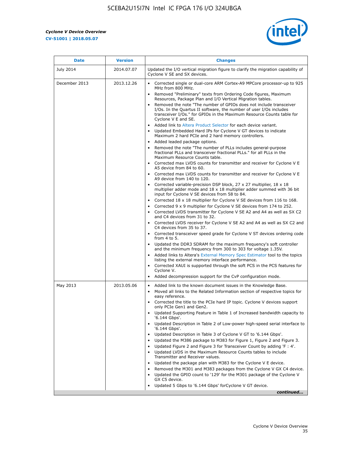r



| <b>Date</b>   | <b>Version</b> | <b>Changes</b>                                                                                                                                                                                                                           |
|---------------|----------------|------------------------------------------------------------------------------------------------------------------------------------------------------------------------------------------------------------------------------------------|
| July 2014     | 2014.07.07     | Updated the I/O vertical migration figure to clarify the migration capability of<br>Cyclone V SE and SX devices.                                                                                                                         |
| December 2013 | 2013.12.26     | Corrected single or dual-core ARM Cortex-A9 MPCore processor-up to 925<br>MHz from 800 MHz.                                                                                                                                              |
|               |                | Removed "Preliminary" texts from Ordering Code figures, Maximum<br>Resources, Package Plan and I/O Vertical Migration tables.                                                                                                            |
|               |                | Removed the note "The number of GPIOs does not include transceiver<br>I/Os. In the Quartus II software, the number of user I/Os includes<br>transceiver I/Os." for GPIOs in the Maximum Resource Counts table for<br>Cyclone V E and SE. |
|               |                | Added link to Altera Product Selector for each device variant.<br>Updated Embedded Hard IPs for Cyclone V GT devices to indicate<br>Maximum 2 hard PCIe and 2 hard memory controllers.                                                   |
|               |                | • Added leaded package options.                                                                                                                                                                                                          |
|               |                | Removed the note "The number of PLLs includes general-purpose<br>fractional PLLs and transceiver fractional PLLs." for all PLLs in the<br>Maximum Resource Counts table.                                                                 |
|               |                | • Corrected max LVDS counts for transmitter and receiver for Cyclone V E<br>A5 device from 84 to 60.                                                                                                                                     |
|               |                | • Corrected max LVDS counts for transmitter and receiver for Cyclone V E<br>A9 device from 140 to 120.                                                                                                                                   |
|               |                | Corrected variable-precision DSP block, 27 x 27 multiplier, 18 x 18<br>multiplier adder mode and 18 x 18 multiplier adder summed with 36 bit<br>input for Cyclone V SE devices from 58 to 84.                                            |
|               |                | Corrected 18 x 18 multiplier for Cyclone V SE devices from 116 to 168.                                                                                                                                                                   |
|               |                | Corrected 9 x 9 multiplier for Cyclone V SE devices from 174 to 252.                                                                                                                                                                     |
|               |                | Corrected LVDS transmitter for Cyclone V SE A2 and A4 as well as SX C2<br>and C4 devices from 31 to 32.                                                                                                                                  |
|               |                | • Corrected LVDS receiver for Cyclone V SE A2 and A4 as well as SX C2 and<br>C4 devices from 35 to 37.                                                                                                                                   |
|               |                | • Corrected transceiver speed grade for Cyclone V ST devices ordering code<br>from 4 to 5.                                                                                                                                               |
|               |                | • Updated the DDR3 SDRAM for the maximum frequency's soft controller<br>and the minimum frequency from 300 to 303 for voltage 1.35V.                                                                                                     |
|               |                | Added links to Altera's External Memory Spec Estimator tool to the topics<br>listing the external memory interface performance.                                                                                                          |
|               |                | Corrected XAUI is supported through the soft PCS in the PCS features for<br>Cyclone V.                                                                                                                                                   |
|               |                | Added decompression support for the CvP configuration mode.                                                                                                                                                                              |
| May 2013      | 2013.05.06     | Added link to the known document issues in the Knowledge Base.<br>$\bullet$<br>Moved all links to the Related Information section of respective topics for<br>$\bullet$<br>easy reference.                                               |
|               |                | Corrected the title to the PCIe hard IP topic. Cyclone V devices support<br>only PCIe Gen1 and Gen2.                                                                                                                                     |
|               |                | Updated Supporting Feature in Table 1 of Increased bandwidth capacity to<br>٠<br>'6.144 Gbps'.                                                                                                                                           |
|               |                | Updated Description in Table 2 of Low-power high-speed serial interface to<br>'6.144 Gbps'.                                                                                                                                              |
|               |                | Updated Description in Table 3 of Cyclone V GT to '6.144 Gbps'.                                                                                                                                                                          |
|               |                | Updated the M386 package to M383 for Figure 1, Figure 2 and Figure 3.<br>٠                                                                                                                                                               |
|               |                | Updated Figure 2 and Figure 3 for Transceiver Count by adding 'F : 4'.<br>٠                                                                                                                                                              |
|               |                | Updated LVDS in the Maximum Resource Counts tables to include<br>Transmitter and Receiver values.                                                                                                                                        |
|               |                | Updated the package plan with M383 for the Cyclone V E device.                                                                                                                                                                           |
|               |                | Removed the M301 and M383 packages from the Cyclone V GX C4 device.                                                                                                                                                                      |
|               |                | Updated the GPIO count to '129' for the M301 package of the Cyclone V<br>GX C5 device.                                                                                                                                                   |
|               |                | Updated 5 Gbps to '6.144 Gbps' for Cyclone V GT device.                                                                                                                                                                                  |
|               |                | continued                                                                                                                                                                                                                                |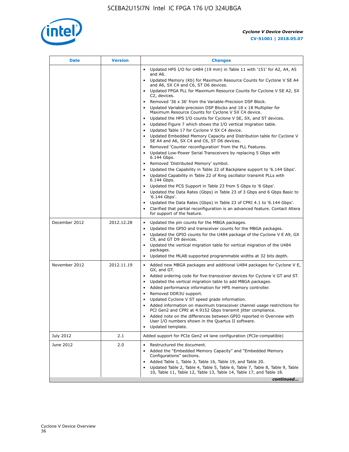

| <b>Date</b>   | <b>Version</b> | <b>Changes</b>                                                                                                                                      |
|---------------|----------------|-----------------------------------------------------------------------------------------------------------------------------------------------------|
|               |                | Updated HPS I/O for U484 (19 mm) in Table 11 with '151' for A2, A4, A5<br>and A6.                                                                   |
|               |                | Updated Memory (Kb) for Maximum Resource Counts for Cyclone V SE A4<br>and A6, SX C4 and C6, ST D6 devices.                                         |
|               |                | Updated FPGA PLL for Maximum Resource Counts for Cyclone V SE A2, SX<br>C2, devices.                                                                |
|               |                | Removed '36 x 36' from the Variable-Precision DSP Block.                                                                                            |
|               |                | Updated Variable-precision DSP Blocks and $18 \times 18$ Multiplier for<br>Maximum Resource Counts for Cyclone V SX C4 device.                      |
|               |                | Updated the HPS I/O counts for Cyclone V SE, SX, and ST devices.<br>$\bullet$                                                                       |
|               |                | Updated Figure 7 which shows the I/O vertical migration table.                                                                                      |
|               |                | Updated Table 17 for Cyclone V SX C4 device.<br>$\bullet$                                                                                           |
|               |                | • Updated Embedded Memory Capacity and Distribution table for Cyclone V<br>SE A4 and A6, SX C4 and C6, ST D6 devices.                               |
|               |                | Removed 'Counter reconfiguration' from the PLL Features.                                                                                            |
|               |                | Updated Low-Power Serial Transceivers by replacing 5 Gbps with<br>6.144 Gbps.                                                                       |
|               |                | Removed 'Distributed Memory' symbol.<br>$\bullet$                                                                                                   |
|               |                | Updated the Capability in Table 22 of Backplane support to '6.144 Gbps'.<br>$\bullet$                                                               |
|               |                | Updated Capability in Table 22 of Ring oscillator transmit PLLs with<br>6.144 Gbps.                                                                 |
|               |                | Updated the PCS Support in Table 23 from 5 Gbps to '6 Gbps'.                                                                                        |
|               |                | Updated the Data Rates (Gbps) in Table 23 of 3 Gbps and 6 Gbps Basic to<br>$\bullet$<br>'6.144 Gbps'.                                               |
|               |                | Updated the Data Rates (Gbps) in Table 23 of CPRI 4.1 to '6.144 Gbps'.                                                                              |
|               |                | Clarified that partial reconfiguration is an advanced feature. Contact Altera<br>for support of the feature.                                        |
| December 2012 | 2012.12.28     | Updated the pin counts for the MBGA packages.<br>$\bullet$                                                                                          |
|               |                | Updated the GPIO and transceiver counts for the MBGA packages.<br>$\bullet$                                                                         |
|               |                | Updated the GPIO counts for the U484 package of the Cyclone V E A9, GX<br>C9, and GT D9 devices.                                                    |
|               |                | Updated the vertical migration table for vertical migration of the U484<br>packages.                                                                |
|               |                | Updated the MLAB supported programmable widths at 32 bits depth.                                                                                    |
| November 2012 | 2012.11.19     | • Added new MBGA packages and additional U484 packages for Cyclone V E,                                                                             |
|               |                | GX, and GT.                                                                                                                                         |
|               |                | Added ordering code for five-transceiver devices for Cyclone V GT and ST.<br>$\bullet$                                                              |
|               |                | Updated the vertical migration table to add MBGA packages.<br>٠                                                                                     |
|               |                | Added performance information for HPS memory controller.<br>$\bullet$<br>Removed DDR3U support.<br>$\bullet$                                        |
|               |                | Updated Cyclone V ST speed grade information.                                                                                                       |
|               |                | Added information on maximum transceiver channel usage restrictions for                                                                             |
|               |                | PCI Gen2 and CPRI at 4.9152 Gbps transmit jitter compliance.                                                                                        |
|               |                | Added note on the differences between GPIO reported in Overview with<br>User I/O numbers shown in the Quartus II software.                          |
|               |                | Updated template.                                                                                                                                   |
| July 2012     | 2.1            | Added support for PCIe Gen2 x4 lane configuration (PCIe-compatible)                                                                                 |
| June 2012     | 2.0            | Restructured the document.<br>٠                                                                                                                     |
|               |                | Added the "Embedded Memory Capacity" and "Embedded Memory<br>Configurations" sections.                                                              |
|               |                | Added Table 1, Table 3, Table 16, Table 19, and Table 20.                                                                                           |
|               |                | Updated Table 2, Table 4, Table 5, Table 6, Table 7, Table 8, Table 9, Table<br>10, Table 11, Table 12, Table 13, Table 14, Table 17, and Table 18. |
|               |                | continued                                                                                                                                           |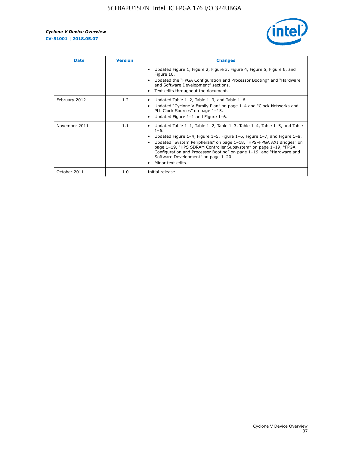

| <b>Date</b>   | <b>Version</b> | <b>Changes</b>                                                                                                                                                                                                                                                                                                                                                                                                                                                |
|---------------|----------------|---------------------------------------------------------------------------------------------------------------------------------------------------------------------------------------------------------------------------------------------------------------------------------------------------------------------------------------------------------------------------------------------------------------------------------------------------------------|
|               |                | Updated Figure 1, Figure 2, Figure 3, Figure 4, Figure 5, Figure 6, and<br>Figure 10.<br>Updated the "FPGA Configuration and Processor Booting" and "Hardware"<br>and Software Development" sections.<br>Text edits throughout the document.                                                                                                                                                                                                                  |
| February 2012 | 1.2            | Updated Table $1-2$ , Table $1-3$ , and Table $1-6$ .<br>Updated "Cyclone V Family Plan" on page 1-4 and "Clock Networks and<br>PLL Clock Sources" on page 1-15.<br>Updated Figure 1-1 and Figure 1-6.                                                                                                                                                                                                                                                        |
| November 2011 | 1.1            | Updated Table $1-1$ , Table $1-2$ , Table $1-3$ , Table $1-4$ , Table $1-5$ , and Table<br>$1 - 6.$<br>Updated Figure 1-4, Figure 1-5, Figure 1-6, Figure 1-7, and Figure 1-8.<br>Updated "System Peripherals" on page 1-18, "HPS-FPGA AXI Bridges" on<br>page 1-19, "HPS SDRAM Controller Subsystem" on page 1-19, "FPGA<br>Configuration and Processor Booting" on page 1-19, and "Hardware and<br>Software Development" on page 1-20.<br>Minor text edits. |
| October 2011  | 1.0            | Initial release.                                                                                                                                                                                                                                                                                                                                                                                                                                              |